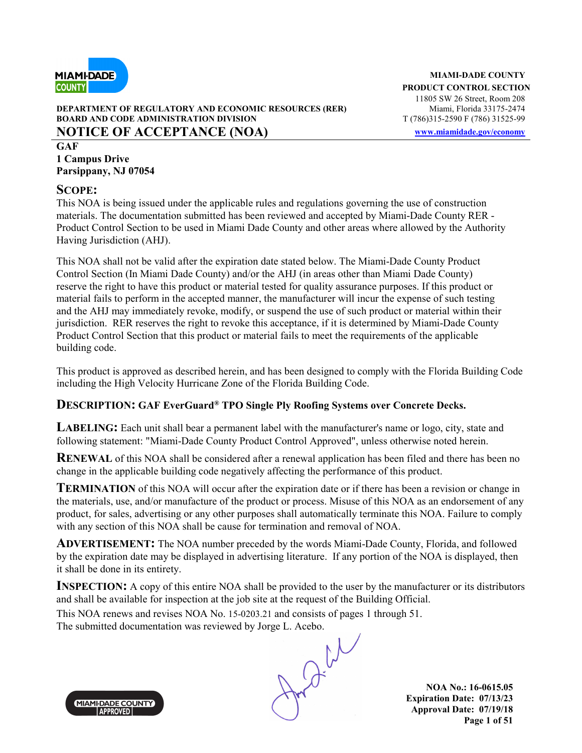

## **DEPARTMENT OF REGULATORY AND ECONOMIC RESOURCES (RER) BOARD AND CODE ADMINISTRATION DIVISION** T (786)315-2590 F (786) 31525-99 **NOTICE OF ACCEPTANCE (NOA) www.miamidade.gov/economy**

**GAF 1 Campus Drive Parsippany, NJ 07054**

## **SCOPE:**

This NOA is being issued under the applicable rules and regulations governing the use of construction materials. The documentation submitted has been reviewed and accepted by Miami-Dade County RER - Product Control Section to be used in Miami Dade County and other areas where allowed by the Authority Having Jurisdiction (AHJ).

This NOA shall not be valid after the expiration date stated below. The Miami-Dade County Product Control Section (In Miami Dade County) and/or the AHJ (in areas other than Miami Dade County) reserve the right to have this product or material tested for quality assurance purposes. If this product or material fails to perform in the accepted manner, the manufacturer will incur the expense of such testing and the AHJ may immediately revoke, modify, or suspend the use of such product or material within their jurisdiction. RER reserves the right to revoke this acceptance, if it is determined by Miami-Dade County Product Control Section that this product or material fails to meet the requirements of the applicable building code.

This product is approved as described herein, and has been designed to comply with the Florida Building Code including the High Velocity Hurricane Zone of the Florida Building Code.

## **DESCRIPTION: GAF EverGuard® TPO Single Ply Roofing Systems over Concrete Decks.**

**LABELING**: Each unit shall bear a permanent label with the manufacturer's name or logo, city, state and following statement: "Miami-Dade County Product Control Approved", unless otherwise noted herein.

**RENEWAL** of this NOA shall be considered after a renewal application has been filed and there has been no change in the applicable building code negatively affecting the performance of this product.

**TERMINATION** of this NOA will occur after the expiration date or if there has been a revision or change in the materials, use, and/or manufacture of the product or process. Misuse of this NOA as an endorsement of any product, for sales, advertising or any other purposes shall automatically terminate this NOA. Failure to comply with any section of this NOA shall be cause for termination and removal of NOA.

**ADVERTISEMENT:** The NOA number preceded by the words Miami-Dade County, Florida, and followed by the expiration date may be displayed in advertising literature. If any portion of the NOA is displayed, then it shall be done in its entirety.

**INSPECTION:** A copy of this entire NOA shall be provided to the user by the manufacturer or its distributors and shall be available for inspection at the job site at the request of the Building Official.

This NOA renews and revises NOA No. 15-0203.21 and consists of pages 1 through 51. The submitted documentation was reviewed by Jorge L. Acebo.



**NOA No.: 16-0615.05 Expiration Date: 07/13/23 Approval Date: 07/19/18 Page 1 of 51**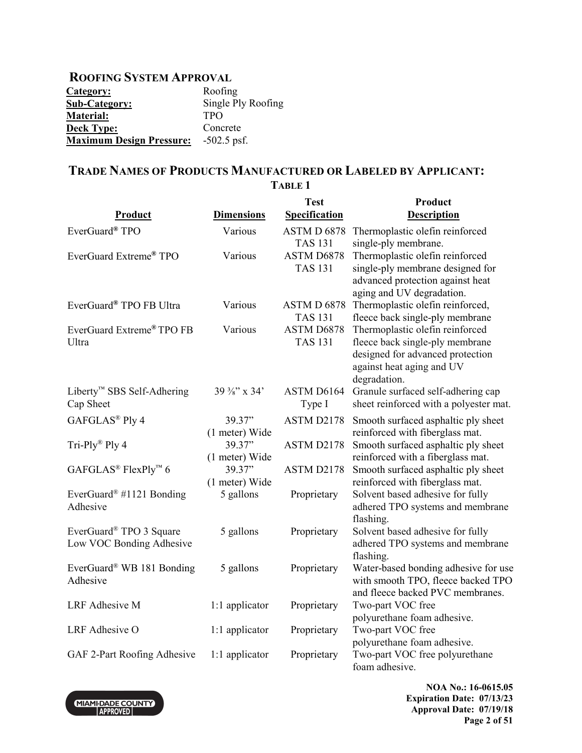## **ROOFING SYSTEM APPROVAL**

| Category:                       | Roofing            |
|---------------------------------|--------------------|
| <b>Sub-Category:</b>            | Single Ply Roofing |
| <b>Material:</b>                | <b>TPO</b>         |
| <b>Deck Type:</b>               | Concrete           |
| <b>Maximum Design Pressure:</b> | $-502.5$ psf.      |

## **TRADE NAMES OF PRODUCTS MANUFACTURED OR LABELED BY APPLICANT: TABLE 1**

| Product                                                         | <b>Dimensions</b>        | <b>Test</b><br><b>Specification</b> | Product<br><b>Description</b>                                                                                                                       |
|-----------------------------------------------------------------|--------------------------|-------------------------------------|-----------------------------------------------------------------------------------------------------------------------------------------------------|
| EverGuard® TPO                                                  | Various                  | ASTM D 6878<br><b>TAS 131</b>       | Thermoplastic olefin reinforced<br>single-ply membrane.                                                                                             |
| EverGuard Extreme <sup>®</sup> TPO                              | Various                  | ASTM D6878<br><b>TAS 131</b>        | Thermoplastic olefin reinforced<br>single-ply membrane designed for<br>advanced protection against heat<br>aging and UV degradation.                |
| EverGuard® TPO FB Ultra                                         | Various                  | ASTM D 6878<br><b>TAS 131</b>       | Thermoplastic olefin reinforced,<br>fleece back single-ply membrane                                                                                 |
| EverGuard Extreme® TPO FB<br>Ultra                              | Various                  | ASTM D6878<br><b>TAS 131</b>        | Thermoplastic olefin reinforced<br>fleece back single-ply membrane<br>designed for advanced protection<br>against heat aging and UV<br>degradation. |
| Liberty <sup>™</sup> SBS Self-Adhering<br>Cap Sheet             | 39 %" x 34"              | ASTM D6164<br>Type I                | Granule surfaced self-adhering cap<br>sheet reinforced with a polyester mat.                                                                        |
| GAFGLAS® Ply 4                                                  | 39.37"<br>(1 meter) Wide | ASTM D2178                          | Smooth surfaced asphaltic ply sheet<br>reinforced with fiberglass mat.                                                                              |
| Tri-Ply® Ply 4                                                  | 39.37"<br>(1 meter) Wide | ASTM D2178                          | Smooth surfaced asphaltic ply sheet<br>reinforced with a fiberglass mat.                                                                            |
| GAFGLAS <sup>®</sup> FlexPly <sup>™</sup> 6                     | 39.37"<br>(1 meter) Wide | ASTM D2178                          | Smooth surfaced asphaltic ply sheet<br>reinforced with fiberglass mat.                                                                              |
| EverGuard <sup>®</sup> #1121 Bonding<br>Adhesive                | 5 gallons                | Proprietary                         | Solvent based adhesive for fully<br>adhered TPO systems and membrane<br>flashing.                                                                   |
| EverGuard <sup>®</sup> TPO 3 Square<br>Low VOC Bonding Adhesive | 5 gallons                | Proprietary                         | Solvent based adhesive for fully<br>adhered TPO systems and membrane<br>flashing.                                                                   |
| EverGuard® WB 181 Bonding<br>Adhesive                           | 5 gallons                | Proprietary                         | Water-based bonding adhesive for use<br>with smooth TPO, fleece backed TPO<br>and fleece backed PVC membranes.                                      |
| <b>LRF</b> Adhesive M                                           | 1:1 applicator           | Proprietary                         | Two-part VOC free<br>polyurethane foam adhesive.                                                                                                    |
| LRF Adhesive O                                                  | 1:1 applicator           | Proprietary                         | Two-part VOC free<br>polyurethane foam adhesive.                                                                                                    |
| GAF 2-Part Roofing Adhesive                                     | 1:1 applicator           | Proprietary                         | Two-part VOC free polyurethane<br>foam adhesive.                                                                                                    |

MIAMI-DADE COUNTY

**NOA No.: 16-0615.05 Expiration Date: 07/13/23 Approval Date: 07/19/18 Page 2 of 51**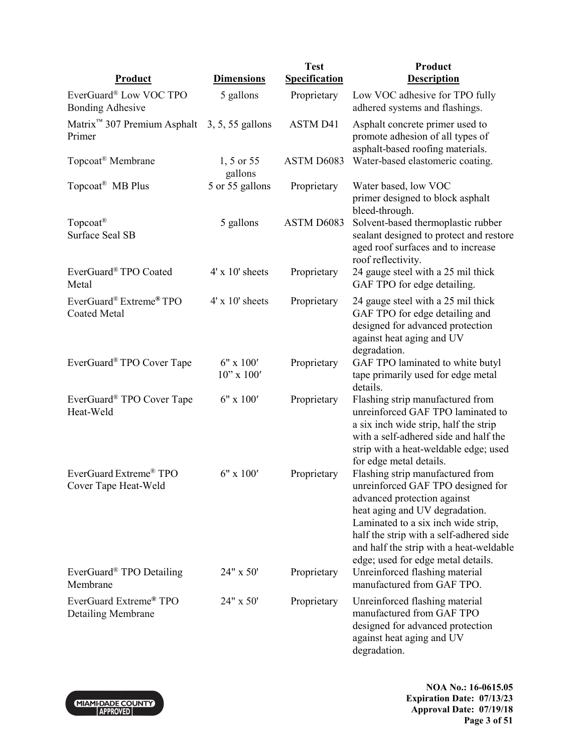| <b>Product</b>                                             | <b>Dimensions</b>               | <b>Test</b><br><b>Specification</b> | Product<br><b>Description</b>                                                                                                                                                                                                                                                                             |
|------------------------------------------------------------|---------------------------------|-------------------------------------|-----------------------------------------------------------------------------------------------------------------------------------------------------------------------------------------------------------------------------------------------------------------------------------------------------------|
| EverGuard® Low VOC TPO                                     | 5 gallons                       | Proprietary                         | Low VOC adhesive for TPO fully                                                                                                                                                                                                                                                                            |
| <b>Bonding Adhesive</b>                                    |                                 |                                     | adhered systems and flashings.                                                                                                                                                                                                                                                                            |
| Matrix <sup>™</sup> 307 Premium Asphalt<br>Primer          | 3, 5, 55 gallons                | <b>ASTM D41</b>                     | Asphalt concrete primer used to<br>promote adhesion of all types of<br>asphalt-based roofing materials.                                                                                                                                                                                                   |
| Topcoat <sup>®</sup> Membrane                              | 1, 5 or 55<br>gallons           | ASTM D6083                          | Water-based elastomeric coating.                                                                                                                                                                                                                                                                          |
| Topcoat <sup>®</sup> MB Plus                               | 5 or 55 gallons                 | Proprietary                         | Water based, low VOC<br>primer designed to block asphalt<br>bleed-through.                                                                                                                                                                                                                                |
| Topcoat <sup>®</sup><br><b>Surface Seal SB</b>             | 5 gallons                       | ASTM D6083                          | Solvent-based thermoplastic rubber<br>sealant designed to protect and restore<br>aged roof surfaces and to increase<br>roof reflectivity.                                                                                                                                                                 |
| EverGuard® TPO Coated<br>Metal                             | $4' \times 10'$ sheets          | Proprietary                         | 24 gauge steel with a 25 mil thick<br>GAF TPO for edge detailing.                                                                                                                                                                                                                                         |
| EverGuard® Extreme® TPO<br><b>Coated Metal</b>             | $4' \times 10'$ sheets          | Proprietary                         | 24 gauge steel with a 25 mil thick<br>GAF TPO for edge detailing and<br>designed for advanced protection<br>against heat aging and UV<br>degradation.                                                                                                                                                     |
| EverGuard® TPO Cover Tape                                  | $6"$ x $100'$<br>$10"$ x $100'$ | Proprietary                         | GAF TPO laminated to white butyl<br>tape primarily used for edge metal<br>details.                                                                                                                                                                                                                        |
| EverGuard <sup>®</sup> TPO Cover Tape<br>Heat-Weld         | $6" \times 100'$                | Proprietary                         | Flashing strip manufactured from<br>unreinforced GAF TPO laminated to<br>a six inch wide strip, half the strip<br>with a self-adhered side and half the<br>strip with a heat-weldable edge; used<br>for edge metal details.                                                                               |
| EverGuard Extreme <sup>®</sup> TPO<br>Cover Tape Heat-Weld | 6" x 100'                       | Proprietary                         | Flashing strip manufactured from<br>unreinforced GAF TPO designed for<br>advanced protection against<br>heat aging and UV degradation.<br>Laminated to a six inch wide strip,<br>half the strip with a self-adhered side<br>and half the strip with a heat-weldable<br>edge; used for edge metal details. |
| EverGuard <sup>®</sup> TPO Detailing<br>Membrane           | 24" x 50'                       | Proprietary                         | Unreinforced flashing material<br>manufactured from GAF TPO.                                                                                                                                                                                                                                              |
| EverGuard Extreme® TPO<br>Detailing Membrane               | 24" x 50'                       | Proprietary                         | Unreinforced flashing material<br>manufactured from GAF TPO<br>designed for advanced protection<br>against heat aging and UV<br>degradation.                                                                                                                                                              |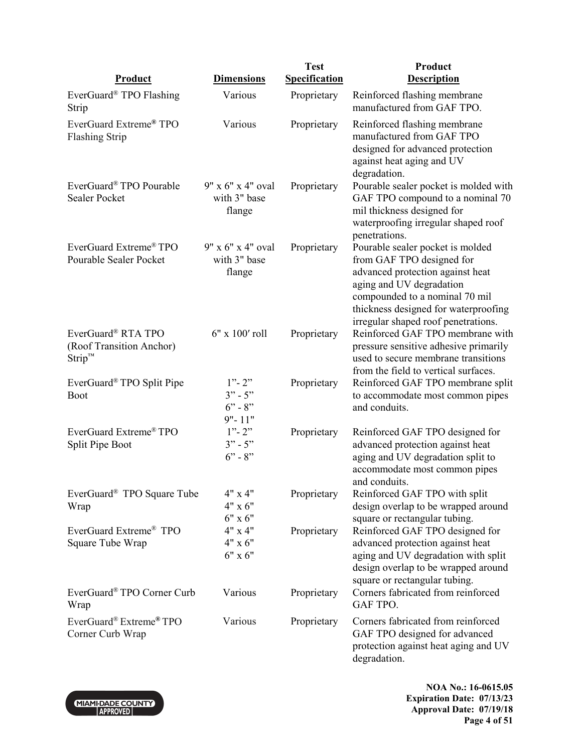| <b>Product</b>                                                      | <b>Dimensions</b>                                 | <b>Test</b><br><b>Specification</b> | Product<br><b>Description</b>                                                                                                                                                                                                                  |
|---------------------------------------------------------------------|---------------------------------------------------|-------------------------------------|------------------------------------------------------------------------------------------------------------------------------------------------------------------------------------------------------------------------------------------------|
|                                                                     |                                                   |                                     |                                                                                                                                                                                                                                                |
| EverGuard <sup>®</sup> TPO Flashing<br>Strip                        | Various                                           | Proprietary                         | Reinforced flashing membrane<br>manufactured from GAF TPO.                                                                                                                                                                                     |
| EverGuard Extreme® TPO<br><b>Flashing Strip</b>                     | Various                                           | Proprietary                         | Reinforced flashing membrane<br>manufactured from GAF TPO<br>designed for advanced protection<br>against heat aging and UV<br>degradation.                                                                                                     |
| EverGuard® TPO Pourable<br><b>Sealer Pocket</b>                     | 9" x 6" x 4" oval<br>with 3" base<br>flange       | Proprietary                         | Pourable sealer pocket is molded with<br>GAF TPO compound to a nominal 70<br>mil thickness designed for<br>waterproofing irregular shaped roof<br>penetrations.                                                                                |
| EverGuard Extreme <sup>®</sup> TPO<br><b>Pourable Sealer Pocket</b> | 9" x 6" x 4" oval<br>with 3" base<br>flange       | Proprietary                         | Pourable sealer pocket is molded<br>from GAF TPO designed for<br>advanced protection against heat<br>aging and UV degradation<br>compounded to a nominal 70 mil<br>thickness designed for waterproofing<br>irregular shaped roof penetrations. |
| EverGuard® RTA TPO<br>(Roof Transition Anchor)<br>$String^{m}$      | 6" x 100' roll                                    | Proprietary                         | Reinforced GAF TPO membrane with<br>pressure sensitive adhesive primarily<br>used to secure membrane transitions<br>from the field to vertical surfaces.                                                                                       |
| EverGuard® TPO Split Pipe<br>Boot                                   | $1"$ - 2"<br>$3" - 5"$<br>$6" - 8"$<br>$9" - 11"$ | Proprietary                         | Reinforced GAF TPO membrane split<br>to accommodate most common pipes<br>and conduits.                                                                                                                                                         |
| EverGuard Extreme® TPO<br>Split Pipe Boot                           | $1"$ - 2"<br>$3" - 5"$<br>$6" - 8"$               | Proprietary                         | Reinforced GAF TPO designed for<br>advanced protection against heat<br>aging and UV degradation split to<br>accommodate most common pipes<br>and conduits.                                                                                     |
| EverGuard <sup>®</sup> TPO Square Tube<br>Wrap                      | 4" x 4"<br>$4" \times 6"$<br>$6"$ x $6"$          | Proprietary                         | Reinforced GAF TPO with split<br>design overlap to be wrapped around<br>square or rectangular tubing.                                                                                                                                          |
| EverGuard Extreme <sup>®</sup> TPO<br>Square Tube Wrap              | 4" x 4"<br>4" x 6"<br>$6"$ x $6"$                 | Proprietary                         | Reinforced GAF TPO designed for<br>advanced protection against heat<br>aging and UV degradation with split<br>design overlap to be wrapped around<br>square or rectangular tubing.                                                             |
| EverGuard® TPO Corner Curb<br>Wrap                                  | Various                                           | Proprietary                         | Corners fabricated from reinforced<br>GAF TPO.                                                                                                                                                                                                 |
| EverGuard® Extreme® TPO<br>Corner Curb Wrap                         | Various                                           | Proprietary                         | Corners fabricated from reinforced<br>GAF TPO designed for advanced<br>protection against heat aging and UV<br>degradation.                                                                                                                    |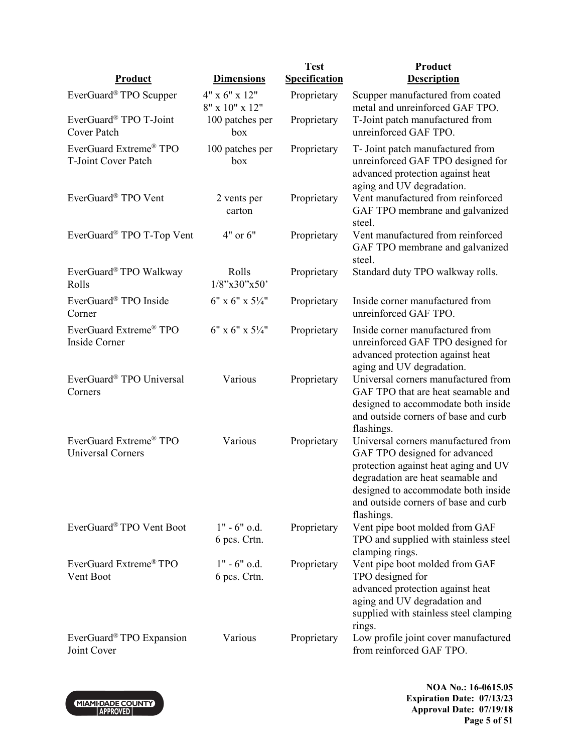|                                                           |                                 | <b>Test</b>          | Product                                                                                                                                                                                                                                        |
|-----------------------------------------------------------|---------------------------------|----------------------|------------------------------------------------------------------------------------------------------------------------------------------------------------------------------------------------------------------------------------------------|
| <b>Product</b>                                            | <b>Dimensions</b>               | <b>Specification</b> | <b>Description</b>                                                                                                                                                                                                                             |
| EverGuard <sup>®</sup> TPO Scupper                        | 4" x 6" x 12"<br>8" x 10" x 12" | Proprietary          | Scupper manufactured from coated<br>metal and unreinforced GAF TPO.                                                                                                                                                                            |
| EverGuard® TPO T-Joint<br>Cover Patch                     | 100 patches per<br>box          | Proprietary          | T-Joint patch manufactured from<br>unreinforced GAF TPO.                                                                                                                                                                                       |
| EverGuard Extreme <sup>®</sup> TPO<br>T-Joint Cover Patch | 100 patches per<br>box          | Proprietary          | T- Joint patch manufactured from<br>unreinforced GAF TPO designed for<br>advanced protection against heat<br>aging and UV degradation.                                                                                                         |
| EverGuard® TPO Vent                                       | 2 vents per<br>carton           | Proprietary          | Vent manufactured from reinforced<br>GAF TPO membrane and galvanized<br>steel.                                                                                                                                                                 |
| EverGuard <sup>®</sup> TPO T-Top Vent                     | 4" or 6"                        | Proprietary          | Vent manufactured from reinforced<br>GAF TPO membrane and galvanized<br>steel.                                                                                                                                                                 |
| EverGuard® TPO Walkway<br>Rolls                           | Rolls<br>$1/8$ "x30"x50"        | Proprietary          | Standard duty TPO walkway rolls.                                                                                                                                                                                                               |
| EverGuard® TPO Inside<br>Corner                           | $6"$ x $6"$ x $5\frac{1}{4"$    | Proprietary          | Inside corner manufactured from<br>unreinforced GAF TPO.                                                                                                                                                                                       |
| EverGuard Extreme® TPO<br>Inside Corner                   | $6"$ x $6"$ x $5\frac{1}{4"$    | Proprietary          | Inside corner manufactured from<br>unreinforced GAF TPO designed for<br>advanced protection against heat<br>aging and UV degradation.                                                                                                          |
| EverGuard® TPO Universal<br>Corners                       | Various                         | Proprietary          | Universal corners manufactured from<br>GAF TPO that are heat seamable and<br>designed to accommodate both inside<br>and outside corners of base and curb<br>flashings.                                                                         |
| EverGuard Extreme® TPO<br><b>Universal Corners</b>        | Various                         | Proprietary          | Universal corners manufactured from<br>GAF TPO designed for advanced<br>protection against heat aging and UV<br>degradation are heat seamable and<br>designed to accommodate both inside<br>and outside corners of base and curb<br>flashings. |
| EverGuard® TPO Vent Boot                                  | $1" - 6"$ o.d.<br>6 pcs. Crtn.  | Proprietary          | Vent pipe boot molded from GAF<br>TPO and supplied with stainless steel<br>clamping rings.                                                                                                                                                     |
| EverGuard Extreme <sup>®</sup> TPO<br>Vent Boot           | $1" - 6"$ o.d.<br>6 pcs. Crtn.  | Proprietary          | Vent pipe boot molded from GAF<br>TPO designed for<br>advanced protection against heat<br>aging and UV degradation and<br>supplied with stainless steel clamping<br>rings.                                                                     |
| EverGuard <sup>®</sup> TPO Expansion<br>Joint Cover       | Various                         | Proprietary          | Low profile joint cover manufactured<br>from reinforced GAF TPO.                                                                                                                                                                               |



**NOA No.: 16-0615.05 Expiration Date: 07/13/23 Approval Date: 07/19/18 Page 5 of 51**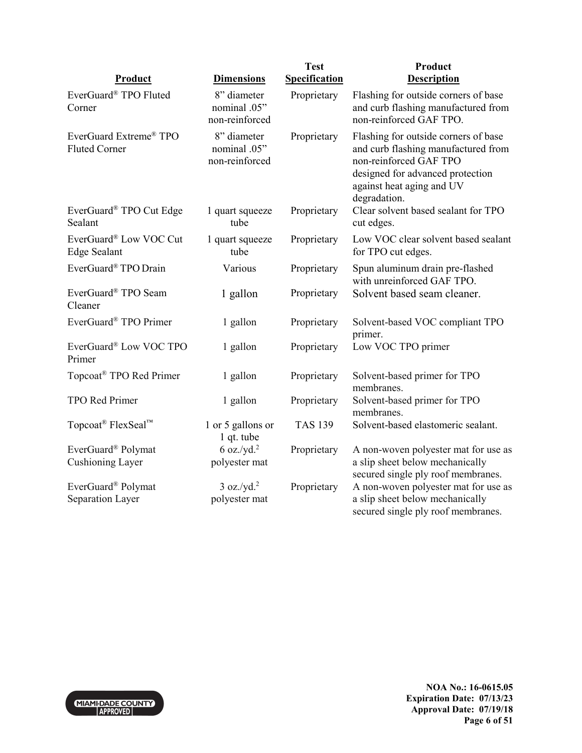|                                                |                                               | <b>Test</b>          | Product                                                                                                                                                                                |
|------------------------------------------------|-----------------------------------------------|----------------------|----------------------------------------------------------------------------------------------------------------------------------------------------------------------------------------|
| Product                                        | <b>Dimensions</b>                             | <b>Specification</b> | <b>Description</b>                                                                                                                                                                     |
| EverGuard® TPO Fluted<br>Corner                | 8" diameter<br>nominal .05"<br>non-reinforced | Proprietary          | Flashing for outside corners of base<br>and curb flashing manufactured from<br>non-reinforced GAF TPO.                                                                                 |
| EverGuard Extreme® TPO<br><b>Fluted Corner</b> | 8" diameter<br>nominal .05"<br>non-reinforced | Proprietary          | Flashing for outside corners of base<br>and curb flashing manufactured from<br>non-reinforced GAF TPO<br>designed for advanced protection<br>against heat aging and UV<br>degradation. |
| EverGuard® TPO Cut Edge<br>Sealant             | 1 quart squeeze<br>tube                       | Proprietary          | Clear solvent based sealant for TPO<br>cut edges.                                                                                                                                      |
| EverGuard® Low VOC Cut<br><b>Edge Sealant</b>  | 1 quart squeeze<br>tube                       | Proprietary          | Low VOC clear solvent based sealant<br>for TPO cut edges.                                                                                                                              |
| EverGuard® TPO Drain                           | Various                                       | Proprietary          | Spun aluminum drain pre-flashed<br>with unreinforced GAF TPO.                                                                                                                          |
| EverGuard® TPO Seam<br>Cleaner                 | 1 gallon                                      | Proprietary          | Solvent based seam cleaner.                                                                                                                                                            |
| EverGuard® TPO Primer                          | 1 gallon                                      | Proprietary          | Solvent-based VOC compliant TPO<br>primer.                                                                                                                                             |
| EverGuard® Low VOC TPO<br>Primer               | 1 gallon                                      | Proprietary          | Low VOC TPO primer                                                                                                                                                                     |
| Topcoat <sup>®</sup> TPO Red Primer            | 1 gallon                                      | Proprietary          | Solvent-based primer for TPO<br>membranes.                                                                                                                                             |
| TPO Red Primer                                 | 1 gallon                                      | Proprietary          | Solvent-based primer for TPO<br>membranes.                                                                                                                                             |
| Topcoat <sup>®</sup> FlexSeal™                 | 1 or 5 gallons or<br>1 qt. tube               | <b>TAS 139</b>       | Solvent-based elastomeric sealant.                                                                                                                                                     |
| EverGuard® Polymat                             | $6$ oz./yd. <sup>2</sup>                      | Proprietary          | A non-woven polyester mat for use as                                                                                                                                                   |
| <b>Cushioning Layer</b>                        | polyester mat                                 |                      | a slip sheet below mechanically<br>secured single ply roof membranes.                                                                                                                  |
| EverGuard® Polymat                             | $3 oz./yd.^2$                                 | Proprietary          | A non-woven polyester mat for use as                                                                                                                                                   |
| Separation Layer                               | polyester mat                                 |                      | a slip sheet below mechanically<br>secured single ply roof membranes.                                                                                                                  |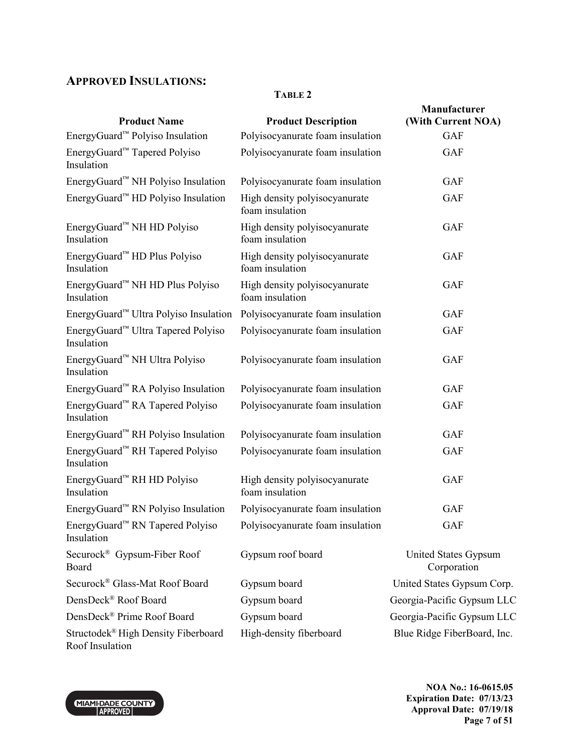# **APPROVED INSULATIONS:**

## **TABLE 2**

| <b>Product Name</b>                                    | <b>Product Description</b>                       | Manufacturer<br>(With Current NOA)  |
|--------------------------------------------------------|--------------------------------------------------|-------------------------------------|
| EnergyGuard <sup>™</sup> Polyiso Insulation            | Polyisocyanurate foam insulation                 | <b>GAF</b>                          |
| EnergyGuard™ Tapered Polyiso<br>Insulation             | Polyisocyanurate foam insulation                 | <b>GAF</b>                          |
| EnergyGuard™ NH Polyiso Insulation                     | Polyisocyanurate foam insulation                 | <b>GAF</b>                          |
| EnergyGuard™ HD Polyiso Insulation                     | High density polyisocyanurate<br>foam insulation | <b>GAF</b>                          |
| EnergyGuard <sup>™</sup> NH HD Polyiso<br>Insulation   | High density polyisocyanurate<br>foam insulation | <b>GAF</b>                          |
| EnergyGuard <sup>™</sup> HD Plus Polyiso<br>Insulation | High density polyisocyanurate<br>foam insulation | <b>GAF</b>                          |
| EnergyGuard™ NH HD Plus Polyiso<br>Insulation          | High density polyisocyanurate<br>foam insulation | <b>GAF</b>                          |
| EnergyGuard <sup>™</sup> Ultra Polyiso Insulation      | Polyisocyanurate foam insulation                 | <b>GAF</b>                          |
| EnergyGuard™ Ultra Tapered Polyiso<br>Insulation       | Polyisocyanurate foam insulation                 | <b>GAF</b>                          |
| EnergyGuard™ NH Ultra Polyiso<br>Insulation            | Polyisocyanurate foam insulation                 | <b>GAF</b>                          |
| EnergyGuard™ RA Polyiso Insulation                     | Polyisocyanurate foam insulation                 | <b>GAF</b>                          |
| EnergyGuard™ RA Tapered Polyiso<br>Insulation          | Polyisocyanurate foam insulation                 | <b>GAF</b>                          |
| EnergyGuard™ RH Polyiso Insulation                     | Polyisocyanurate foam insulation                 | <b>GAF</b>                          |
| EnergyGuard™ RH Tapered Polyiso<br>Insulation          | Polyisocyanurate foam insulation                 | <b>GAF</b>                          |
| EnergyGuard™ RH HD Polyiso<br>Insulation               | High density polyisocyanurate<br>foam insulation | <b>GAF</b>                          |
| EnergyGuard™ RN Polyiso Insulation                     | Polyisocyanurate foam insulation                 | <b>GAF</b>                          |
| EnergyGuard™ RN Tapered Polyiso<br>Insulation          | Polyisocyanurate foam insulation                 | <b>GAF</b>                          |
| Securock <sup>®</sup> Gypsum-Fiber Roof<br>Board       | Gypsum roof board                                | United States Gypsum<br>Corporation |
| Securock® Glass-Mat Roof Board                         | Gypsum board                                     | United States Gypsum Corp.          |
| DensDeck® Roof Board                                   | Gypsum board                                     | Georgia-Pacific Gypsum LLC          |
| DensDeck® Prime Roof Board                             | Gypsum board                                     | Georgia-Pacific Gypsum LLC          |
| Structodek® High Density Fiberboard<br>Roof Insulation | High-density fiberboard                          | Blue Ridge FiberBoard, Inc.         |



**NOA No.: 16-0615.05 Expiration Date: 07/13/23 Approval Date: 07/19/18 Page 7 of 51**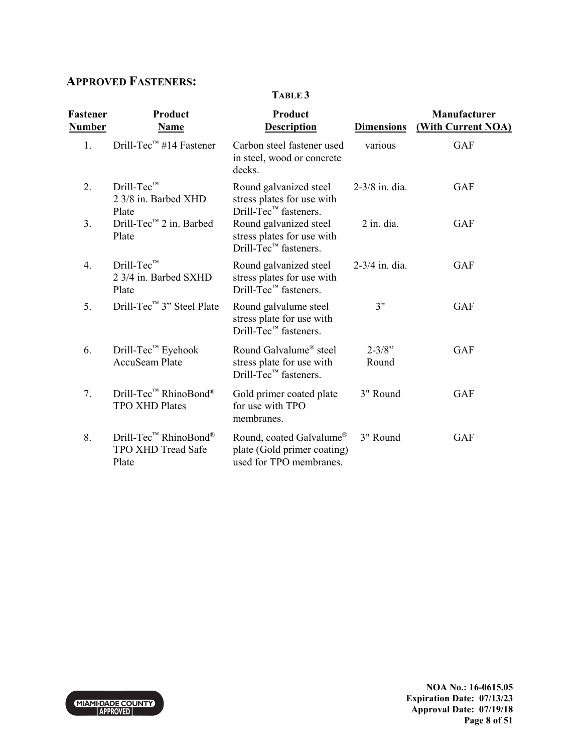# **APPROVED FASTENERS:**

**TABLE 3** 

| Fastener<br><b>Number</b> | Product<br><b>Name</b>                                           | Product<br><b>Description</b>                                                                        | <b>Dimensions</b>   | Manufacturer<br>(With Current NOA) |
|---------------------------|------------------------------------------------------------------|------------------------------------------------------------------------------------------------------|---------------------|------------------------------------|
| 1.                        | Drill-Tec <sup>™</sup> #14 Fastener                              | Carbon steel fastener used<br>in steel, wood or concrete<br>decks.                                   | various             | <b>GAF</b>                         |
| 2.                        | Drill-Tec™<br>2 3/8 in. Barbed XHD<br>Plate                      | Round galvanized steel<br>stress plates for use with<br>$Drill-Tec™$ fasteners.                      | $2 - 3/8$ in. dia.  | <b>GAF</b>                         |
| 3.                        | Drill-Tec <sup>™</sup> 2 in. Barbed<br>Plate                     | Round galvanized steel<br>stress plates for use with<br>$Drill-Tec™$ fasteners.                      | $2$ in. dia.        | <b>GAF</b>                         |
| $\overline{4}$ .          | $Drill-TecTM$<br>2 3/4 in. Barbed SXHD<br>Plate                  | Round galvanized steel<br>stress plates for use with<br>$Drill-Tec™$ fasteners.                      | $2 - 3/4$ in. dia.  | <b>GAF</b>                         |
| 5.                        | Drill-Tec™ 3" Steel Plate                                        | Round galvalume steel<br>stress plate for use with<br>$Drill-Tec™$ fasteners.                        | 3"                  | <b>GAF</b>                         |
| 6.                        | Drill-Tec <sup>™</sup> Eyehook<br><b>AccuSeam Plate</b>          | Round Galvalume <sup>®</sup> steel<br>stress plate for use with<br>Drill-Tec <sup>™</sup> fasteners. | $2 - 3/8"$<br>Round | <b>GAF</b>                         |
| 7.                        | Drill-Tec™ RhinoBond®<br><b>TPO XHD Plates</b>                   | Gold primer coated plate<br>for use with TPO<br>membranes.                                           | 3" Round            | <b>GAF</b>                         |
| 8.                        | Drill-Tec <sup>™</sup> RhinoBond®<br>TPO XHD Tread Safe<br>Plate | Round, coated Galvalume <sup>®</sup><br>plate (Gold primer coating)<br>used for TPO membranes.       | 3" Round            | <b>GAF</b>                         |

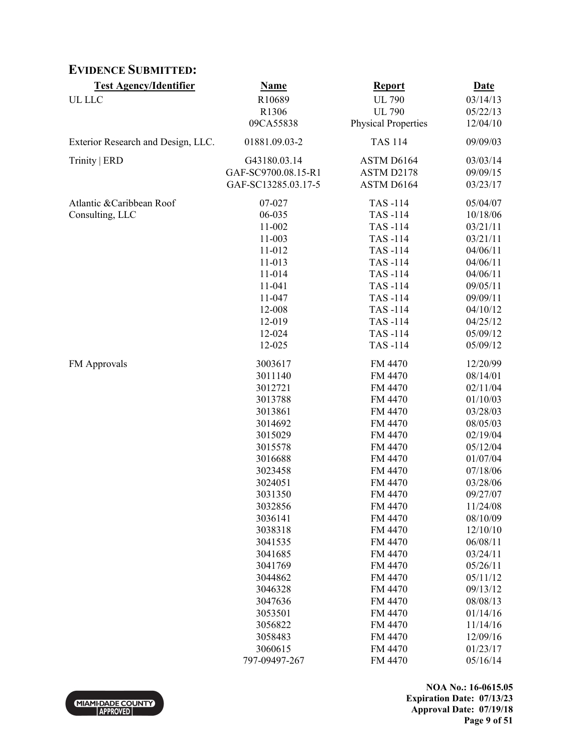# **EVIDENCE SUBMITTED:**

| <b>Test Agency/Identifier</b>      | <b>Name</b>         | <b>Report</b>              | <b>Date</b> |
|------------------------------------|---------------------|----------------------------|-------------|
| UL LLC                             | R10689              | <b>UL 790</b>              | 03/14/13    |
|                                    | R1306               | <b>UL 790</b>              | 05/22/13    |
|                                    | 09CA55838           | <b>Physical Properties</b> | 12/04/10    |
| Exterior Research and Design, LLC. | 01881.09.03-2       | <b>TAS 114</b>             | 09/09/03    |
| Trinity   ERD                      | G43180.03.14        | ASTM D6164                 | 03/03/14    |
|                                    | GAF-SC9700.08.15-R1 | ASTM D2178                 | 09/09/15    |
|                                    | GAF-SC13285.03.17-5 | ASTM D6164                 | 03/23/17    |
| Atlantic & Caribbean Roof          | 07-027              | TAS-114                    | 05/04/07    |
| Consulting, LLC                    | 06-035              | TAS-114                    | 10/18/06    |
|                                    | 11-002              | TAS-114                    | 03/21/11    |
|                                    | 11-003              | TAS-114                    | 03/21/11    |
|                                    | 11-012              | TAS-114                    | 04/06/11    |
|                                    | 11-013              | TAS-114                    | 04/06/11    |
|                                    | 11-014              | TAS-114                    | 04/06/11    |
|                                    | 11-041              | TAS-114                    | 09/05/11    |
|                                    | 11-047              | TAS-114                    | 09/09/11    |
|                                    | 12-008              | TAS-114                    | 04/10/12    |
|                                    | 12-019              | TAS-114                    | 04/25/12    |
|                                    | 12-024              | TAS-114                    | 05/09/12    |
|                                    | 12-025              | TAS-114                    | 05/09/12    |
| FM Approvals                       | 3003617             | FM 4470                    | 12/20/99    |
|                                    | 3011140             | FM 4470                    | 08/14/01    |
|                                    | 3012721             | FM 4470                    | 02/11/04    |
|                                    | 3013788             | FM 4470                    | 01/10/03    |
|                                    | 3013861             | FM 4470                    | 03/28/03    |
|                                    | 3014692             | FM 4470                    | 08/05/03    |
|                                    | 3015029             | FM 4470                    | 02/19/04    |
|                                    | 3015578             | FM 4470                    | 05/12/04    |
|                                    | 3016688             | FM 4470                    | 01/07/04    |
|                                    | 3023458             | FM 4470                    | 07/18/06    |
|                                    | 3024051             | FM 4470                    | 03/28/06    |
|                                    | 3031350             | FM 4470                    | 09/27/07    |
|                                    | 3032856             | FM 4470                    | 11/24/08    |
|                                    | 3036141             | FM 4470                    | 08/10/09    |
|                                    | 3038318             | FM 4470                    | 12/10/10    |
|                                    | 3041535             | FM 4470                    | 06/08/11    |
|                                    | 3041685             | FM 4470                    | 03/24/11    |
|                                    | 3041769             | FM 4470                    | 05/26/11    |
|                                    | 3044862             | FM 4470                    | 05/11/12    |
|                                    | 3046328             | FM 4470                    | 09/13/12    |
|                                    | 3047636             | FM 4470                    | 08/08/13    |
|                                    | 3053501             | FM 4470                    | 01/14/16    |
|                                    | 3056822             | FM 4470                    | 11/14/16    |
|                                    | 3058483             | FM 4470                    | 12/09/16    |
|                                    | 3060615             | FM 4470                    | 01/23/17    |
|                                    | 797-09497-267       | FM 4470                    | 05/16/14    |



**NOA No.: 16-0615.05 Expiration Date: 07/13/23 Approval Date: 07/19/18 Page 9 of 51**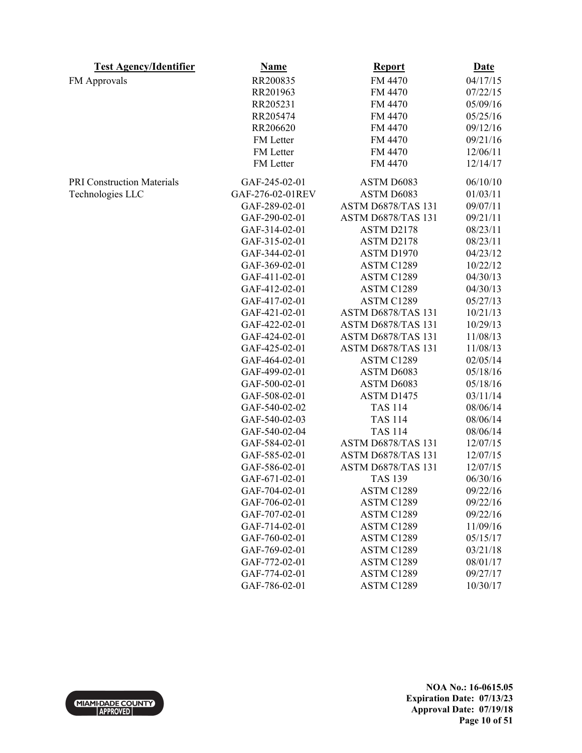| <b>Test Agency/Identifier</b>     | <b>Name</b>      | <b>Report</b>      | <b>Date</b> |
|-----------------------------------|------------------|--------------------|-------------|
| FM Approvals                      | RR200835         | FM 4470            | 04/17/15    |
|                                   | RR201963         | FM 4470            | 07/22/15    |
|                                   | RR205231         | FM 4470            | 05/09/16    |
|                                   | RR205474         | FM 4470            | 05/25/16    |
|                                   | RR206620         | FM 4470            | 09/12/16    |
|                                   | FM Letter        | FM 4470            | 09/21/16    |
|                                   | FM Letter        | FM 4470            | 12/06/11    |
|                                   | FM Letter        | FM 4470            | 12/14/17    |
| <b>PRI Construction Materials</b> | GAF-245-02-01    | ASTM D6083         | 06/10/10    |
| Technologies LLC                  | GAF-276-02-01REV | ASTM D6083         | 01/03/11    |
|                                   | GAF-289-02-01    | ASTM D6878/TAS 131 | 09/07/11    |
|                                   | GAF-290-02-01    | ASTM D6878/TAS 131 | 09/21/11    |
|                                   | GAF-314-02-01    | ASTM D2178         | 08/23/11    |
|                                   | GAF-315-02-01    | ASTM D2178         | 08/23/11    |
|                                   | GAF-344-02-01    | ASTM D1970         | 04/23/12    |
|                                   | GAF-369-02-01    | ASTM C1289         | 10/22/12    |
|                                   | GAF-411-02-01    | ASTM C1289         | 04/30/13    |
|                                   | GAF-412-02-01    | ASTM C1289         | 04/30/13    |
|                                   | GAF-417-02-01    | ASTM C1289         | 05/27/13    |
|                                   | GAF-421-02-01    | ASTM D6878/TAS 131 | 10/21/13    |
|                                   | GAF-422-02-01    | ASTM D6878/TAS 131 | 10/29/13    |
|                                   | GAF-424-02-01    | ASTM D6878/TAS 131 | 11/08/13    |
|                                   | GAF-425-02-01    | ASTM D6878/TAS 131 | 11/08/13    |
|                                   | GAF-464-02-01    | ASTM C1289         | 02/05/14    |
|                                   | GAF-499-02-01    | ASTM D6083         | 05/18/16    |
|                                   | GAF-500-02-01    | ASTM D6083         | 05/18/16    |
|                                   | GAF-508-02-01    | ASTM D1475         | 03/11/14    |
|                                   | GAF-540-02-02    | <b>TAS 114</b>     | 08/06/14    |
|                                   | GAF-540-02-03    | <b>TAS 114</b>     | 08/06/14    |
|                                   | GAF-540-02-04    | <b>TAS 114</b>     | 08/06/14    |
|                                   | GAF-584-02-01    | ASTM D6878/TAS 131 | 12/07/15    |
|                                   | GAF-585-02-01    | ASTM D6878/TAS 131 | 12/07/15    |
|                                   | GAF-586-02-01    | ASTM D6878/TAS 131 | 12/07/15    |
|                                   | GAF-671-02-01    | <b>TAS 139</b>     | 06/30/16    |
|                                   | GAF-704-02-01    | ASTM C1289         | 09/22/16    |
|                                   | GAF-706-02-01    | ASTM C1289         | 09/22/16    |
|                                   | GAF-707-02-01    | ASTM C1289         | 09/22/16    |
|                                   | GAF-714-02-01    | ASTM C1289         | 11/09/16    |
|                                   | GAF-760-02-01    | ASTM C1289         | 05/15/17    |
|                                   | GAF-769-02-01    | ASTM C1289         | 03/21/18    |
|                                   | GAF-772-02-01    | ASTM C1289         | 08/01/17    |
|                                   | GAF-774-02-01    | ASTM C1289         | 09/27/17    |
|                                   | GAF-786-02-01    | ASTM C1289         | 10/30/17    |

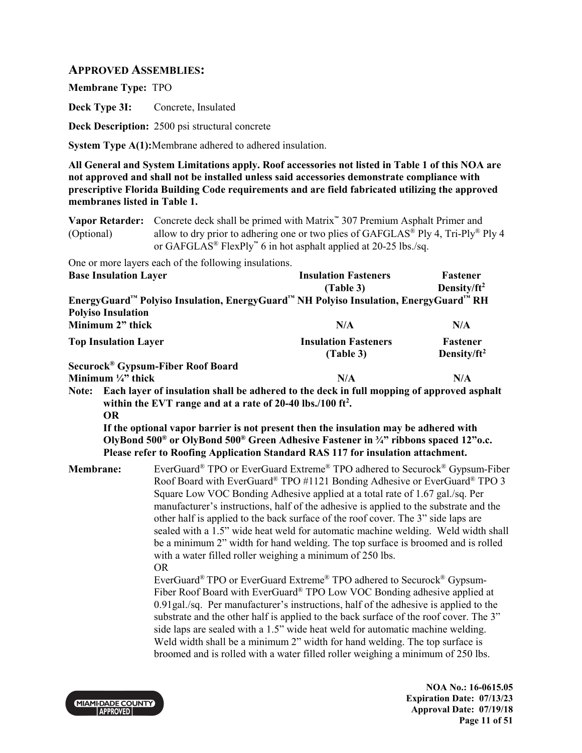## **APPROVED ASSEMBLIES:**

**Membrane Type:** TPO

**Deck Type 3I:** Concrete, Insulated

**Deck Description:** 2500 psi structural concrete

**System Type A(1):**Membrane adhered to adhered insulation.

**All General and System Limitations apply. Roof accessories not listed in Table 1 of this NOA are not approved and shall not be installed unless said accessories demonstrate compliance with prescriptive Florida Building Code requirements and are field fabricated utilizing the approved membranes listed in Table 1.**

| <b>Vapor Retarder:</b><br>(Optional) | Concrete deck shall be primed with Matrix <sup>**</sup> 307 Premium Asphalt Primer and<br>allow to dry prior to adhering one or two plies of GAFGLAS <sup>®</sup> Ply 4, Tri-Ply <sup>®</sup> Ply 4<br>or GAFGLAS <sup>®</sup> FlexPly <sup>™</sup> 6 in hot asphalt applied at 20-25 lbs./sq.                                                                                                                                                                                                                                                                                                                                                                                                                                                                                                                                                                                                                                                                                                                                                                                                                                                                                                                                                                     |                                          |                                     |
|--------------------------------------|--------------------------------------------------------------------------------------------------------------------------------------------------------------------------------------------------------------------------------------------------------------------------------------------------------------------------------------------------------------------------------------------------------------------------------------------------------------------------------------------------------------------------------------------------------------------------------------------------------------------------------------------------------------------------------------------------------------------------------------------------------------------------------------------------------------------------------------------------------------------------------------------------------------------------------------------------------------------------------------------------------------------------------------------------------------------------------------------------------------------------------------------------------------------------------------------------------------------------------------------------------------------|------------------------------------------|-------------------------------------|
| <b>Base Insulation Layer</b>         | One or more layers each of the following insulations.                                                                                                                                                                                                                                                                                                                                                                                                                                                                                                                                                                                                                                                                                                                                                                                                                                                                                                                                                                                                                                                                                                                                                                                                              | <b>Insulation Fasteners</b><br>(Table 3) | Fastener<br>Density/ft <sup>2</sup> |
|                                      | EnergyGuard™ Polyiso Insulation, EnergyGuard™ NH Polyiso Insulation, EnergyGuard™ RH                                                                                                                                                                                                                                                                                                                                                                                                                                                                                                                                                                                                                                                                                                                                                                                                                                                                                                                                                                                                                                                                                                                                                                               |                                          |                                     |
| <b>Polyiso Insulation</b>            |                                                                                                                                                                                                                                                                                                                                                                                                                                                                                                                                                                                                                                                                                                                                                                                                                                                                                                                                                                                                                                                                                                                                                                                                                                                                    |                                          |                                     |
| Minimum 2" thick                     |                                                                                                                                                                                                                                                                                                                                                                                                                                                                                                                                                                                                                                                                                                                                                                                                                                                                                                                                                                                                                                                                                                                                                                                                                                                                    | N/A                                      | N/A                                 |
| <b>Top Insulation Layer</b>          |                                                                                                                                                                                                                                                                                                                                                                                                                                                                                                                                                                                                                                                                                                                                                                                                                                                                                                                                                                                                                                                                                                                                                                                                                                                                    | <b>Insulation Fasteners</b><br>(Table 3) | Fastener<br>Density/ft <sup>2</sup> |
| Minimum $\frac{1}{4}$ " thick        | Securock® Gypsum-Fiber Roof Board                                                                                                                                                                                                                                                                                                                                                                                                                                                                                                                                                                                                                                                                                                                                                                                                                                                                                                                                                                                                                                                                                                                                                                                                                                  | N/A                                      | N/A                                 |
| <b>OR</b>                            | within the EVT range and at a rate of 20-40 lbs./100 ft <sup>2</sup> .<br>If the optional vapor barrier is not present then the insulation may be adhered with<br>OlyBond 500 <sup>®</sup> or OlyBond 500 <sup>®</sup> Green Adhesive Fastener in 3/4" ribbons spaced 12"o.c.<br>Please refer to Roofing Application Standard RAS 117 for insulation attachment.                                                                                                                                                                                                                                                                                                                                                                                                                                                                                                                                                                                                                                                                                                                                                                                                                                                                                                   |                                          |                                     |
| <b>Membrane:</b>                     | EverGuard® TPO or EverGuard Extreme® TPO adhered to Securock® Gypsum-Fiber<br>Roof Board with EverGuard® TPO #1121 Bonding Adhesive or EverGuard® TPO 3<br>Square Low VOC Bonding Adhesive applied at a total rate of 1.67 gal./sq. Per<br>manufacturer's instructions, half of the adhesive is applied to the substrate and the<br>other half is applied to the back surface of the roof cover. The 3" side laps are<br>sealed with a 1.5" wide heat weld for automatic machine welding. Weld width shall<br>be a minimum 2" width for hand welding. The top surface is broomed and is rolled<br>with a water filled roller weighing a minimum of 250 lbs.<br><b>OR</b><br>EverGuard® TPO or EverGuard Extreme® TPO adhered to Securock® Gypsum-<br>Fiber Roof Board with EverGuard® TPO Low VOC Bonding adhesive applied at<br>0.91gal./sq. Per manufacturer's instructions, half of the adhesive is applied to the<br>substrate and the other half is applied to the back surface of the roof cover. The 3"<br>side laps are sealed with a 1.5" wide heat weld for automatic machine welding.<br>Weld width shall be a minimum 2" width for hand welding. The top surface is<br>broomed and is rolled with a water filled roller weighing a minimum of 250 lbs. |                                          |                                     |

MIAMI-DADE COUNTY

**NOA No.: 16-0615.05 Expiration Date: 07/13/23 Approval Date: 07/19/18 Page 11 of 51**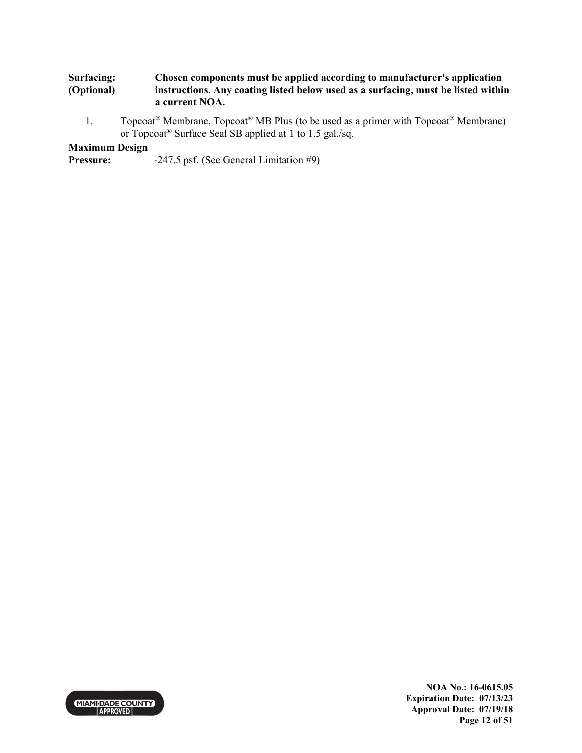#### **Surfacing: (Optional) Chosen components must be applied according to manufacturer's application instructions. Any coating listed below used as a surfacing, must be listed within a current NOA.**

1. Topcoat<sup>®</sup> Membrane, Topcoat<sup>®</sup> MB Plus (to be used as a primer with Topcoat<sup>®</sup> Membrane) or Topcoat® Surface Seal SB applied at 1 to 1.5 gal./sq.

## **Maximum Design**

**Pressure:** -247.5 psf. (See General Limitation #9)



**NOA No.: 16-0615.05 Expiration Date: 07/13/23 Approval Date: 07/19/18 Page 12 of 51**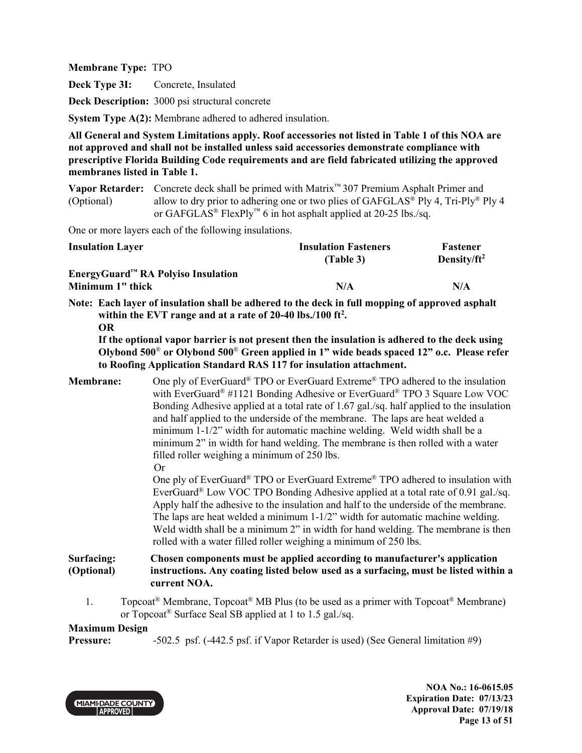**Deck Type 3I:** Concrete, Insulated

**Deck Description:** 3000 psi structural concrete

**System Type A(2):** Membrane adhered to adhered insulation.

**All General and System Limitations apply. Roof accessories not listed in Table 1 of this NOA are not approved and shall not be installed unless said accessories demonstrate compliance with prescriptive Florida Building Code requirements and are field fabricated utilizing the approved membranes listed in Table 1.**

**Vapor Retarder:** Concrete deck shall be primed with Matrix™ 307 Premium Asphalt Primer and (Optional) allow to dry prior to adhering one or two plies of  $GAFGLAS^{\circledast}$  Ply 4, Tri-Ply<sup>®</sup> Ply 4 or GAFGLAS<sup>®</sup> FlexPly<sup>™</sup> 6 in hot asphalt applied at 20-25 lbs./sq.

One or more layers each of the following insulations.

| <b>Insulation Layer</b>                                  | <b>Insulation Fasteners</b><br>(Table 3) | Fastener<br>Density/ $ft^2$ |
|----------------------------------------------------------|------------------------------------------|-----------------------------|
| $EnergyGuard™ RA Polviso Insulation$<br>Minimum 1" thick | N/A                                      | N/A                         |

**Note: Each layer of insulation shall be adhered to the deck in full mopping of approved asphalt within the EVT range and at a rate of 20-40 lbs./100 ft<sup>2</sup> . OR** 

**If the optional vapor barrier is not present then the insulation is adhered to the deck using Olybond 500**® **or Olybond 500**® **Green applied in 1" wide beads spaced 12" o.c. Please refer to Roofing Application Standard RAS 117 for insulation attachment.**

**Membrane:** One ply of EverGuard<sup>®</sup> TPO or EverGuard Extreme<sup>®</sup> TPO adhered to the insulation with EverGuard<sup>®</sup> #1121 Bonding Adhesive or EverGuard<sup>®</sup> TPO 3 Square Low VOC Bonding Adhesive applied at a total rate of 1.67 gal./sq. half applied to the insulation and half applied to the underside of the membrane. The laps are heat welded a minimum 1-1/2" width for automatic machine welding. Weld width shall be a minimum 2" in width for hand welding. The membrane is then rolled with a water filled roller weighing a minimum of 250 lbs. Or

One ply of EverGuard® TPO or EverGuard Extreme® TPO adhered to insulation with EverGuard<sup>®</sup> Low VOC TPO Bonding Adhesive applied at a total rate of 0.91 gal./sq. Apply half the adhesive to the insulation and half to the underside of the membrane. The laps are heat welded a minimum 1-1/2" width for automatic machine welding. Weld width shall be a minimum 2" in width for hand welding. The membrane is then rolled with a water filled roller weighing a minimum of 250 lbs.

#### **Surfacing: (Optional) Chosen components must be applied according to manufacturer's application instructions. Any coating listed below used as a surfacing, must be listed within a current NOA.**

1. Topcoat<sup>®</sup> Membrane, Topcoat<sup>®</sup> MB Plus (to be used as a primer with Topcoat<sup>®</sup> Membrane) or Topcoat® Surface Seal SB applied at 1 to 1.5 gal./sq.

## **Maximum Design**

**Pressure:** -502.5 psf.  $(-442.5 \text{ psf. if Vapor Retarder is used)$  (See General limitation #9)



**NOA No.: 16-0615.05 Expiration Date: 07/13/23 Approval Date: 07/19/18 Page 13 of 51**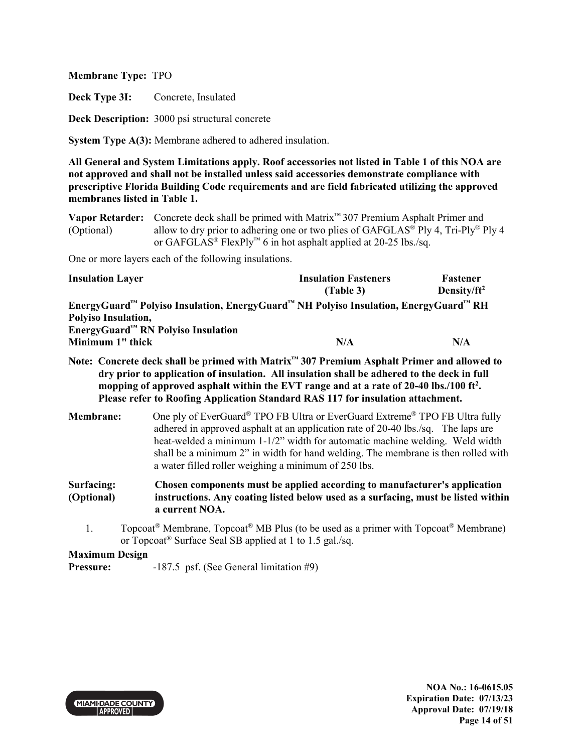**Deck Type 3I:** Concrete, Insulated

**Deck Description:** 3000 psi structural concrete

**System Type A(3):** Membrane adhered to adhered insulation.

**All General and System Limitations apply. Roof accessories not listed in Table 1 of this NOA are not approved and shall not be installed unless said accessories demonstrate compliance with prescriptive Florida Building Code requirements and are field fabricated utilizing the approved membranes listed in Table 1.**

**Vapor Retarder:** Concrete deck shall be primed with Matrix™ 307 Premium Asphalt Primer and (Optional) allow to dry prior to adhering one or two plies of  $GAFGLAS^{\circledast}$  Ply 4, Tri-Ply<sup>®</sup> Ply 4 or GAFGLAS<sup>®</sup> FlexPly<sup>™</sup> 6 in hot asphalt applied at 20-25 lbs./sq.

One or more layers each of the following insulations.

| <b>Insulation Layer</b>                                                                                                  | <b>Insulation Fasteners</b> | Fastener        |
|--------------------------------------------------------------------------------------------------------------------------|-----------------------------|-----------------|
|                                                                                                                          | (Table 3)                   | Density/ $ft^2$ |
| EnergyGuard <sup>™</sup> Polyiso Insulation, EnergyGuard <sup>™</sup> NH Polyiso Insulation, EnergyGuard <sup>™</sup> RH |                             |                 |
| Polyiso Insulation,                                                                                                      |                             |                 |
| EnergyGuard <sup>™</sup> RN Polyiso Insulation                                                                           |                             |                 |
| Minimum 1" thick                                                                                                         | N/A                         | N/A             |

- **Note: Concrete deck shall be primed with Matrix™ 307 Premium Asphalt Primer and allowed to dry prior to application of insulation. All insulation shall be adhered to the deck in full mopping of approved asphalt within the EVT range and at a rate of 20-40 lbs./100 ft<sup>2</sup> . Please refer to Roofing Application Standard RAS 117 for insulation attachment.**
- **Membrane:** One ply of EverGuard<sup>®</sup> TPO FB Ultra or EverGuard Extreme<sup>®</sup> TPO FB Ultra fully adhered in approved asphalt at an application rate of 20-40 lbs./sq. The laps are heat-welded a minimum 1-1/2" width for automatic machine welding. Weld width shall be a minimum 2" in width for hand welding. The membrane is then rolled with a water filled roller weighing a minimum of 250 lbs.

#### **Surfacing: (Optional) Chosen components must be applied according to manufacturer's application instructions. Any coating listed below used as a surfacing, must be listed within a current NOA.**

1. Topcoat<sup>®</sup> Membrane, Topcoat<sup>®</sup> MB Plus (to be used as a primer with Topcoat<sup>®</sup> Membrane) or Topcoat® Surface Seal SB applied at 1 to 1.5 gal./sq.

**Maximum Design** 

**Pressure:** -187.5 psf. (See General limitation #9)

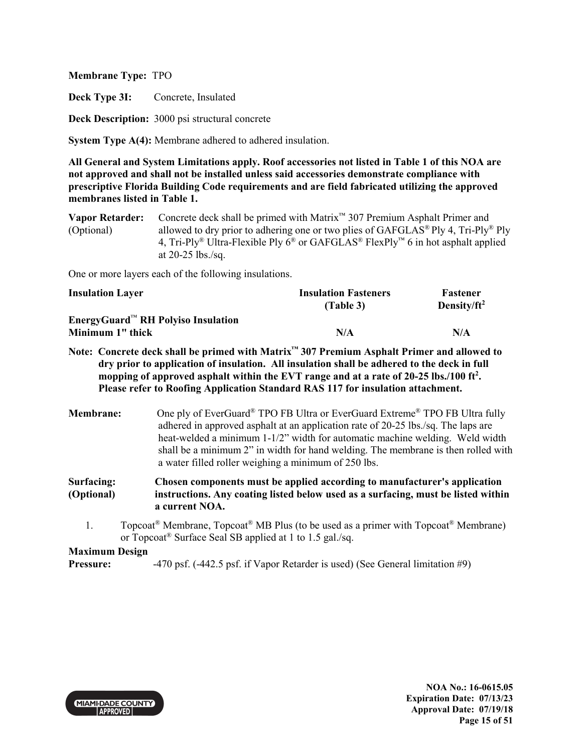**Deck Type 3I:** Concrete, Insulated

**Deck Description:** 3000 psi structural concrete

**System Type A(4):** Membrane adhered to adhered insulation.

**All General and System Limitations apply. Roof accessories not listed in Table 1 of this NOA are not approved and shall not be installed unless said accessories demonstrate compliance with prescriptive Florida Building Code requirements and are field fabricated utilizing the approved membranes listed in Table 1.**

**Vapor Retarder:** Concrete deck shall be primed with Matrix™ 307 Premium Asphalt Primer and (Optional) allowed to dry prior to adhering one or two plies of GAFGLAS® Ply 4, Tri-Ply® Ply 4, Tri-Ply<sup>®</sup> Ultra-Flexible Ply  $6^\circ$  or GAFGLAS<sup>®</sup> FlexPly<sup>™</sup> 6 in hot asphalt applied at 20-25 lbs./sq.

One or more layers each of the following insulations.

| <b>Insulation Layer</b>               | <b>Insulation Fasteners</b> | <b>Fastener</b> |
|---------------------------------------|-----------------------------|-----------------|
|                                       | (Table 3)                   | Density/ $ft^2$ |
| $EnergyGuard^M RH$ Polyiso Insulation |                             |                 |
| Minimum 1" thick                      | N/A                         | N/A             |

**Note: Concrete deck shall be primed with Matrix™ 307 Premium Asphalt Primer and allowed to dry prior to application of insulation. All insulation shall be adhered to the deck in full mopping of approved asphalt within the EVT range and at a rate of 20-25 lbs./100 ft<sup>2</sup> . Please refer to Roofing Application Standard RAS 117 for insulation attachment.**

**Membrane:** One ply of EverGuard<sup>®</sup> TPO FB Ultra or EverGuard Extreme<sup>®</sup> TPO FB Ultra fully adhered in approved asphalt at an application rate of 20-25 lbs./sq. The laps are heat-welded a minimum 1-1/2" width for automatic machine welding. Weld width shall be a minimum 2" in width for hand welding. The membrane is then rolled with a water filled roller weighing a minimum of 250 lbs.

**Surfacing: (Optional) Chosen components must be applied according to manufacturer's application instructions. Any coating listed below used as a surfacing, must be listed within a current NOA.** 

1. Topcoat<sup>®</sup> Membrane, Topcoat<sup>®</sup> MB Plus (to be used as a primer with Topcoat<sup>®</sup> Membrane) or Topcoat® Surface Seal SB applied at 1 to 1.5 gal./sq.

**Maximum Design** 

**Pressure:**  $-470 \text{ psf.} (-442.5 \text{ psf.} \text{ if Vapor Retarder is used) (See General limitation #9)}$ 



**NOA No.: 16-0615.05 Expiration Date: 07/13/23 Approval Date: 07/19/18 Page 15 of 51**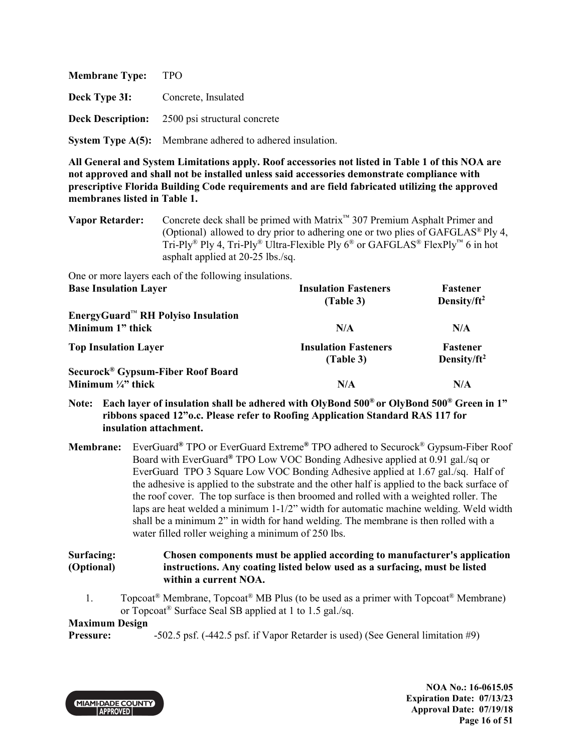| <b>Membrane Type:</b>                    | - TPO                                                            |
|------------------------------------------|------------------------------------------------------------------|
| <b>Deck Type 3I:</b> Concrete, Insulated |                                                                  |
|                                          | <b>Deck Description:</b> 2500 psi structural concrete            |
|                                          | <b>System Type A(5):</b> Membrane adhered to adhered insulation. |

One or more layers each of the following insulations.

| <b>Base Insulation Layer</b>                                | <b>Insulation Fasteners</b> | Fastener        |
|-------------------------------------------------------------|-----------------------------|-----------------|
|                                                             | (Table 3)                   | Density/ $ft^2$ |
| EnergyGuard <sup><math>M</math></sup> RH Polyiso Insulation |                             |                 |
| Minimum 1" thick                                            | N/A                         | N/A             |
| <b>Top Insulation Layer</b>                                 | <b>Insulation Fasteners</b> | Fastener        |
|                                                             | (Table 3)                   | Density/ $ft^2$ |
| Securock <sup>®</sup> Gypsum-Fiber Roof Board               |                             |                 |
| Minimum $\frac{1}{4}$ thick                                 | N/A                         | N/A             |

## **Note: Each layer of insulation shall be adhered with OlyBond 500® or OlyBond 500® Green in 1" ribbons spaced 12"o.c. Please refer to Roofing Application Standard RAS 117 for insulation attachment.**

**Membrane:** EverGuard**®** TPO or EverGuard Extreme**®** TPO adhered to Securock® Gypsum-Fiber Roof Board with EverGuard**®** TPO Low VOC Bonding Adhesive applied at 0.91 gal./sq or EverGuard TPO 3 Square Low VOC Bonding Adhesive applied at 1.67 gal./sq. Half of the adhesive is applied to the substrate and the other half is applied to the back surface of the roof cover. The top surface is then broomed and rolled with a weighted roller. The laps are heat welded a minimum 1-1/2" width for automatic machine welding. Weld width shall be a minimum 2" in width for hand welding. The membrane is then rolled with a water filled roller weighing a minimum of 250 lbs.

#### **Surfacing: (Optional) Chosen components must be applied according to manufacturer's application instructions. Any coating listed below used as a surfacing, must be listed within a current NOA.**

1. Topcoat<sup>®</sup> Membrane, Topcoat<sup>®</sup> MB Plus (to be used as a primer with Topcoat<sup>®</sup> Membrane) or Topcoat® Surface Seal SB applied at 1 to 1.5 gal./sq.

## **Maximum Design**

**Pressure:** -502.5 psf.  $(-442.5 \text{ psf. if Vapor Retarder is used)$  (See General limitation #9)



**NOA No.: 16-0615.05 Expiration Date: 07/13/23 Approval Date: 07/19/18 Page 16 of 51** 

**Vapor Retarder:** Concrete deck shall be primed with Matrix™ 307 Premium Asphalt Primer and (Optional) allowed to dry prior to adhering one or two plies of GAFGLAS® Ply 4, Tri-Ply<sup>®</sup> Ply 4, Tri-Ply<sup>®</sup> Ultra-Flexible Ply  $6^{\circ}$  or GAFGLAS<sup>®</sup> FlexPly<sup>™</sup> 6 in hot asphalt applied at 20-25 lbs./sq.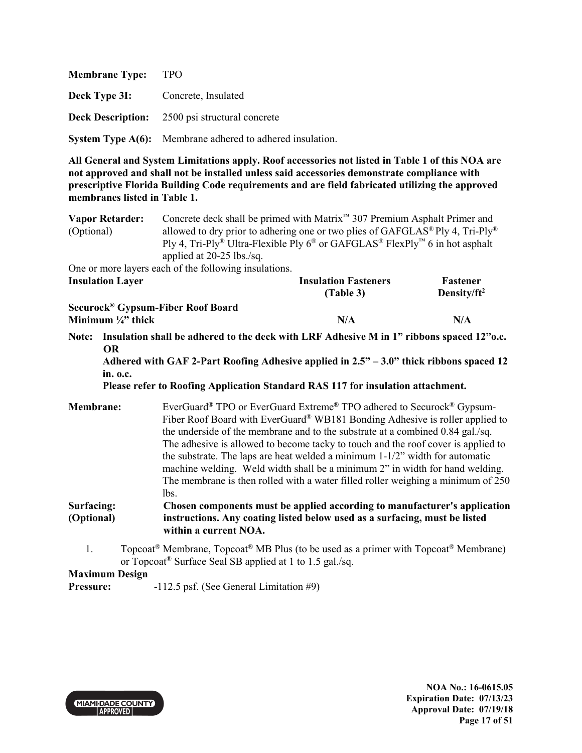| <b>Membrane Type:</b> | - TPO                                                            |
|-----------------------|------------------------------------------------------------------|
|                       | <b>Deck Type 3I:</b> Concrete, Insulated                         |
|                       | <b>Deck Description:</b> 2500 psi structural concrete            |
|                       | <b>System Type A(6):</b> Membrane adhered to adhered insulation. |

| <b>Vapor Retarder:</b><br>(Optional) | Concrete deck shall be primed with Matrix <sup>™</sup> 307 Premium Asphalt Primer and                                                                                                                                                   |                 |  |  |
|--------------------------------------|-----------------------------------------------------------------------------------------------------------------------------------------------------------------------------------------------------------------------------------------|-----------------|--|--|
|                                      | allowed to dry prior to adhering one or two plies of GAFGLAS <sup>®</sup> Ply 4, Tri-Ply <sup>®</sup><br>Ply 4, Tri-Ply <sup>®</sup> Ultra-Flexible Ply $6^{\circledast}$ or GAFGLAS <sup>®</sup> FlexPly <sup>™</sup> 6 in hot asphalt |                 |  |  |
|                                      | applied at $20-25$ lbs./sq.                                                                                                                                                                                                             |                 |  |  |
|                                      | One or more layers each of the following insulations.                                                                                                                                                                                   |                 |  |  |
| <b>Insulation Layer</b>              | <b>Insulation Fasteners</b>                                                                                                                                                                                                             | Fastener        |  |  |
|                                      | (Table 3)                                                                                                                                                                                                                               | Density/ $ft^2$ |  |  |

| Securock® Gypsum-Fiber Roof Board |     |     |
|-----------------------------------|-----|-----|
| Minimum $\frac{1}{4}$ " thick     | N/A | N/A |

**Note: Insulation shall be adhered to the deck with LRF Adhesive M in 1" ribbons spaced 12"o.c. OR** 

**Adhered with GAF 2-Part Roofing Adhesive applied in 2.5" – 3.0" thick ribbons spaced 12 in. o.c.** 

**Please refer to Roofing Application Standard RAS 117 for insulation attachment.** 

| <b>Membrane:</b> | EverGuard® TPO or EverGuard Extreme® TPO adhered to Securock® Gypsum-                               |
|------------------|-----------------------------------------------------------------------------------------------------|
|                  | Fiber Roof Board with EverGuard® WB181 Bonding Adhesive is roller applied to                        |
|                  | the underside of the membrane and to the substrate at a combined 0.84 gal./sq.                      |
|                  | The adhesive is allowed to become tacky to touch and the roof cover is applied to                   |
|                  | the substrate. The laps are heat welded a minimum $1-1/2$ " width for automatic                     |
|                  | machine welding. Weld width shall be a minimum 2" in width for hand welding.                        |
|                  | The membrane is then rolled with a water filled roller weighing a minimum of 250                    |
|                  | lbs.                                                                                                |
| Surfacing:       | Chosen components must be applied according to manufacturer's application                           |
| (Optional)       | instructions. Any coating listed below used as a surfacing, must be listed<br>within a current NOA. |

1. Topcoat® Membrane, Topcoat® MB Plus (to be used as a primer with Topcoat® Membrane) or Topcoat® Surface Seal SB applied at 1 to 1.5 gal./sq.

## **Maximum Design**

**Pressure:** -112.5 psf. (See General Limitation #9)

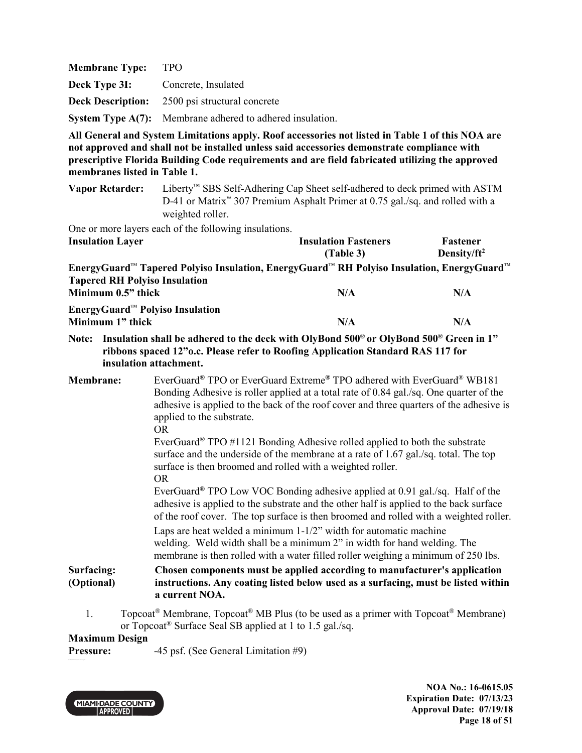| <b>Membrane Type:</b> | TPO                                                              |
|-----------------------|------------------------------------------------------------------|
| Deck Type 3I:         | Concrete, Insulated                                              |
|                       | <b>Deck Description:</b> 2500 psi structural concrete            |
|                       | <b>System Type A(7):</b> Membrane adhered to adhered insulation. |

**Vapor Retarder:** Liberty™ SBS Self-Adhering Cap Sheet self-adhered to deck primed with ASTM D-41 or Matrix™ 307 Premium Asphalt Primer at 0.75 gal./sq. and rolled with a weighted roller.

One or more layers each of the following insulations.

| <b>Insulation Layer</b>                             |                                                                                                                                                                                                                                  | <b>Insulation Fasteners</b><br>(Table 3)                                                                                                                                                                                                                                                                                                                                                                                                                                                                   | Fastener<br>Density/ $ft^2$ |
|-----------------------------------------------------|----------------------------------------------------------------------------------------------------------------------------------------------------------------------------------------------------------------------------------|------------------------------------------------------------------------------------------------------------------------------------------------------------------------------------------------------------------------------------------------------------------------------------------------------------------------------------------------------------------------------------------------------------------------------------------------------------------------------------------------------------|-----------------------------|
| <b>Tapered RH Polyiso Insulation</b>                |                                                                                                                                                                                                                                  | EnergyGuard <sup>™</sup> Tapered Polyiso Insulation, EnergyGuard™ RH Polyiso Insulation, EnergyGuard™                                                                                                                                                                                                                                                                                                                                                                                                      |                             |
|                                                     | Minimum 0.5" thick                                                                                                                                                                                                               | N/A                                                                                                                                                                                                                                                                                                                                                                                                                                                                                                        | N/A                         |
|                                                     | EnergyGuard™ Polyiso Insulation<br>Minimum 1" thick<br>N/A                                                                                                                                                                       |                                                                                                                                                                                                                                                                                                                                                                                                                                                                                                            | N/A                         |
|                                                     | Note: Insulation shall be adhered to the deck with OlyBond 500 <sup>®</sup> or OlyBond 500 <sup>®</sup> Green in 1"<br>ribbons spaced 12"o.c. Please refer to Roofing Application Standard RAS 117 for<br>insulation attachment. |                                                                                                                                                                                                                                                                                                                                                                                                                                                                                                            |                             |
| <b>Membrane:</b><br>applied to the substrate.<br>OR |                                                                                                                                                                                                                                  | EverGuard® TPO or EverGuard Extreme® TPO adhered with EverGuard® WB181<br>Bonding Adhesive is roller applied at a total rate of 0.84 gal./sq. One quarter of the<br>adhesive is applied to the back of the roof cover and three quarters of the adhesive is<br>EverGuard <sup>®</sup> TPO #1121 Bonding Adhesive rolled applied to both the substrate<br>surface and the underside of the membrane at a rate of 1.67 gal./sq. total. The top<br>surface is then broomed and rolled with a weighted roller. |                             |
|                                                     | OR.                                                                                                                                                                                                                              | EverGuard® TPO Low VOC Bonding adhesive applied at 0.91 gal./sq. Half of the                                                                                                                                                                                                                                                                                                                                                                                                                               |                             |

 adhesive is applied to the substrate and the other half is applied to the back surface of the roof cover. The top surface is then broomed and rolled with a weighted roller. Laps are heat welded a minimum 1-1/2" width for automatic machine welding. Weld width shall be a minimum 2" in width for hand welding. The membrane is then rolled with a water filled roller weighing a minimum of 250 lbs.

#### **Surfacing: (Optional) Chosen components must be applied according to manufacturer's application instructions. Any coating listed below used as a surfacing, must be listed within a current NOA.**

1. Topcoat<sup>®</sup> Membrane, Topcoat<sup>®</sup> MB Plus (to be used as a primer with Topcoat<sup>®</sup> Membrane) or Topcoat® Surface Seal SB applied at 1 to 1.5 gal./sq.

## **Maximum Design**

**Pressure:**  $-45 \text{ psf.}$  (See General Limitation #9)



**NOA No.: 16-0615.05 Expiration Date: 07/13/23 Approval Date: 07/19/18 Page 18 of 51**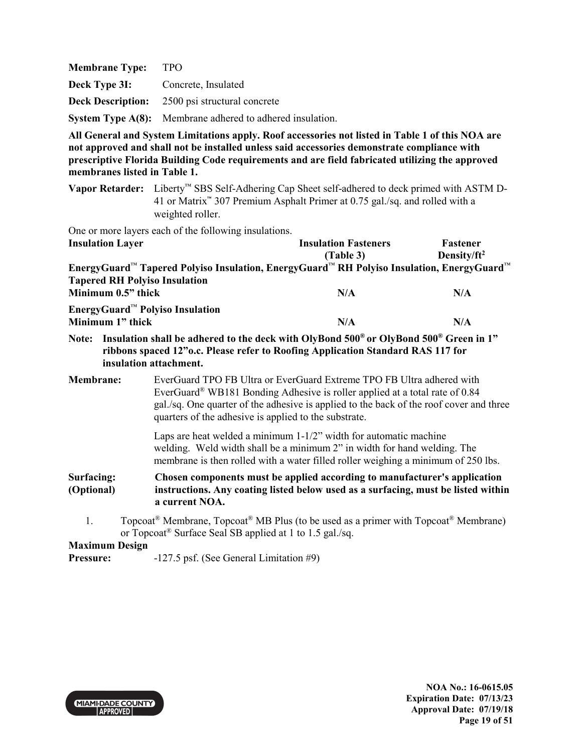| <b>Membrane Type:</b> | <b>TPO</b>                                                       |
|-----------------------|------------------------------------------------------------------|
| Deck Type 3I:         | Concrete, Insulated                                              |
|                       | <b>Deck Description:</b> 2500 psi structural concrete            |
|                       | <b>System Type A(8):</b> Membrane adhered to adhered insulation. |

**Vapor Retarder:** Liberty™ SBS Self-Adhering Cap Sheet self-adhered to deck primed with ASTM D-41 or Matrix™ 307 Premium Asphalt Primer at 0.75 gal./sq. and rolled with a weighted roller.

One or more layers each of the following insulations.

| <b>Insulation Layer</b>                                                                   | <b>Insulation Fasteners</b> | Fastener        |
|-------------------------------------------------------------------------------------------|-----------------------------|-----------------|
|                                                                                           | (Table 3)                   | Density/ $ft^2$ |
| EnergyGuard™ Tapered Polyiso Insulation, EnergyGuard™ RH Polyiso Insulation, EnergyGuard™ |                             |                 |
| <b>Tapered RH Polyiso Insulation</b>                                                      |                             |                 |
| Minimum 0.5" thick                                                                        | N/A                         | N/A             |
| EnergyGuard <sup><math>M</math></sup> Polyiso Insulation                                  |                             |                 |
| Minimum 1" thick                                                                          | N/A                         | N/A             |

**Note: Insulation shall be adhered to the deck with OlyBond 500® or OlyBond 500® Green in 1" ribbons spaced 12"o.c. Please refer to Roofing Application Standard RAS 117 for insulation attachment.**

**Membrane:** EverGuard TPO FB Ultra or EverGuard Extreme TPO FB Ultra adhered with EverGuard® WB181 Bonding Adhesive is roller applied at a total rate of 0.84 gal./sq. One quarter of the adhesive is applied to the back of the roof cover and three quarters of the adhesive is applied to the substrate.

> Laps are heat welded a minimum 1-1/2" width for automatic machine welding. Weld width shall be a minimum 2" in width for hand welding. The membrane is then rolled with a water filled roller weighing a minimum of 250 lbs.

**Surfacing: (Optional) Chosen components must be applied according to manufacturer's application instructions. Any coating listed below used as a surfacing, must be listed within a current NOA.** 

1. Topcoat<sup>®</sup> Membrane, Topcoat<sup>®</sup> MB Plus (to be used as a primer with Topcoat<sup>®</sup> Membrane) or Topcoat® Surface Seal SB applied at 1 to 1.5 gal./sq.

**Maximum Design** 

**Pressure:**  $-127.5$  psf. (See General Limitation #9)

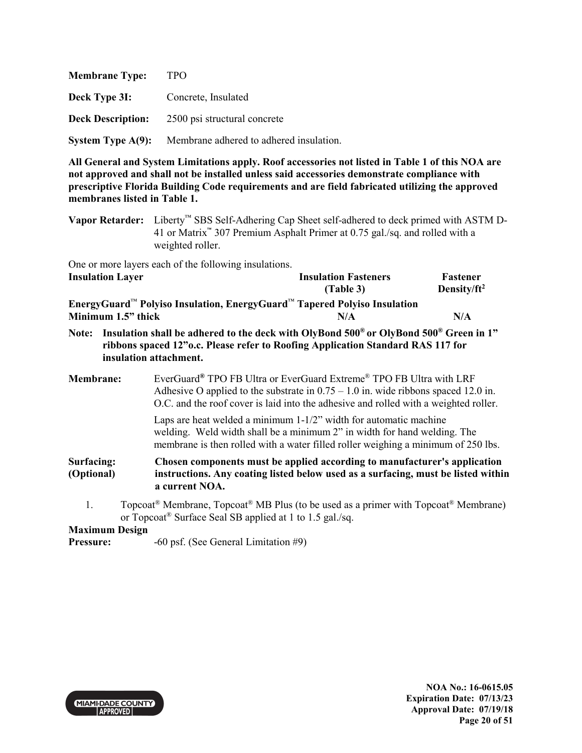| <b>Membrane Type:</b>    | <b>TPO</b>                              |
|--------------------------|-----------------------------------------|
| Deck Type 3I:            | Concrete, Insulated                     |
| <b>Deck Description:</b> | 2500 psi structural concrete            |
| System Type $A(9)$ :     | Membrane adhered to adhered insulation. |

**Vapor Retarder:** Liberty™ SBS Self-Adhering Cap Sheet self-adhered to deck primed with ASTM D-41 or Matrix™ 307 Premium Asphalt Primer at 0.75 gal./sq. and rolled with a weighted roller.

One or more layers each of the following insulations. **Insulation Layer Insulation Fasteners** 

|                                                                                                  | (Table 3) | Density/ $ft^2$ |
|--------------------------------------------------------------------------------------------------|-----------|-----------------|
| EnergyGuard <sup>™</sup> Polyiso Insulation, EnergyGuard <sup>™</sup> Tapered Polyiso Insulation |           |                 |
| Minimum 1.5" thick                                                                               | N/A       | N/A             |

- **Note: Insulation shall be adhered to the deck with OlyBond 500® or OlyBond 500® Green in 1" ribbons spaced 12"o.c. Please refer to Roofing Application Standard RAS 117 for insulation attachment.**
- **Membrane:** EverGuard**®** TPO FB Ultra or EverGuard Extreme® TPO FB Ultra with LRF Adhesive O applied to the substrate in  $0.75 - 1.0$  in. wide ribbons spaced 12.0 in. O.C. and the roof cover is laid into the adhesive and rolled with a weighted roller.

 Laps are heat welded a minimum 1-1/2" width for automatic machine welding. Weld width shall be a minimum 2" in width for hand welding. The membrane is then rolled with a water filled roller weighing a minimum of 250 lbs.

**Surfacing: (Optional) Chosen components must be applied according to manufacturer's application instructions. Any coating listed below used as a surfacing, must be listed within a current NOA.** 

1. Topcoat<sup>®</sup> Membrane, Topcoat<sup>®</sup> MB Plus (to be used as a primer with Topcoat<sup>®</sup> Membrane) or Topcoat® Surface Seal SB applied at 1 to 1.5 gal./sq.

## **Maximum Design**

**Pressure:**  $-60 \text{ psf.}$  (See General Limitation #9)



**Fastener**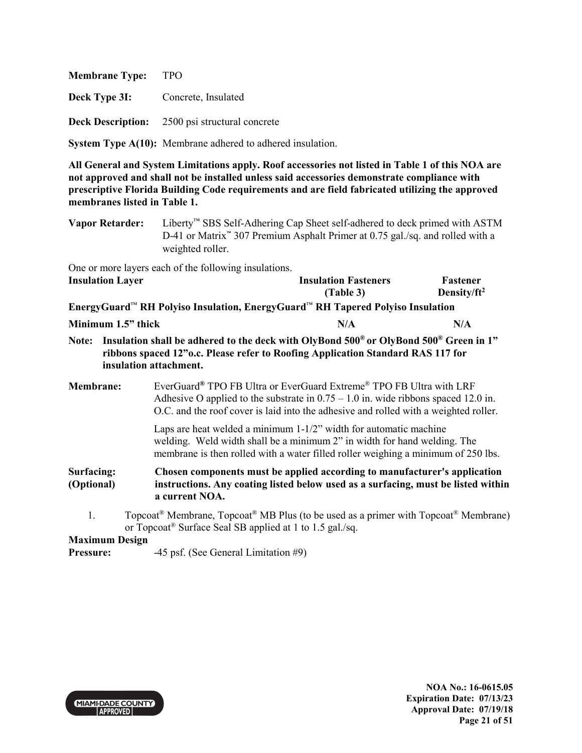| <b>Membrane Type:</b>    | TPO                          |
|--------------------------|------------------------------|
| Deck Type 3I:            | Concrete, Insulated          |
| <b>Deck Description:</b> | 2500 psi structural concrete |

**System Type A(10):** Membrane adhered to adhered insulation.

**All General and System Limitations apply. Roof accessories not listed in Table 1 of this NOA are not approved and shall not be installed unless said accessories demonstrate compliance with prescriptive Florida Building Code requirements and are field fabricated utilizing the approved membranes listed in Table 1.**

| Vapor Retarder: | Liberty <sup><math>m</math></sup> SBS Self-Adhering Cap Sheet self-adhered to deck primed with ASTM          |  |
|-----------------|--------------------------------------------------------------------------------------------------------------|--|
|                 | D-41 or Matrix <sup><math>\approx</math></sup> 307 Premium Asphalt Primer at 0.75 gal./sq. and rolled with a |  |
|                 | weighted roller.                                                                                             |  |

One or more layers each of the following insulations. **Insulation Layer Insulation Fasteners** 

| <b>Insulation Layer</b>                                                        | <b>Insulation Fasteners</b> | Fastener        |
|--------------------------------------------------------------------------------|-----------------------------|-----------------|
|                                                                                | (Table 3)                   | Density/ $ft^2$ |
| EnergyGuard™ RH Polyiso Insulation, EnergyGuard™ RH Tapered Polyiso Insulation |                             |                 |
| Minimum 1.5" thick                                                             | N/A                         | N/A             |

**Note: Insulation shall be adhered to the deck with OlyBond 500® or OlyBond 500® Green in 1" ribbons spaced 12"o.c. Please refer to Roofing Application Standard RAS 117 for insulation attachment.**

**Membrane:** EverGuard**®** TPO FB Ultra or EverGuard Extreme® TPO FB Ultra with LRF Adhesive O applied to the substrate in  $0.75 - 1.0$  in. wide ribbons spaced 12.0 in. O.C. and the roof cover is laid into the adhesive and rolled with a weighted roller.

> Laps are heat welded a minimum 1-1/2" width for automatic machine welding. Weld width shall be a minimum 2" in width for hand welding. The membrane is then rolled with a water filled roller weighing a minimum of 250 lbs.

**Surfacing: (Optional) Chosen components must be applied according to manufacturer's application instructions. Any coating listed below used as a surfacing, must be listed within a current NOA.** 

1. Topcoat<sup>®</sup> Membrane,  $\text{Topcoat}^{\circledast}$  MB Plus (to be used as a primer with  $\text{Topcoat}^{\circledast}$  Membrane) or Topcoat® Surface Seal SB applied at 1 to 1.5 gal./sq.

## **Maximum Design**

**Pressure:**  $-45 \text{ psf.}$  (See General Limitation #9)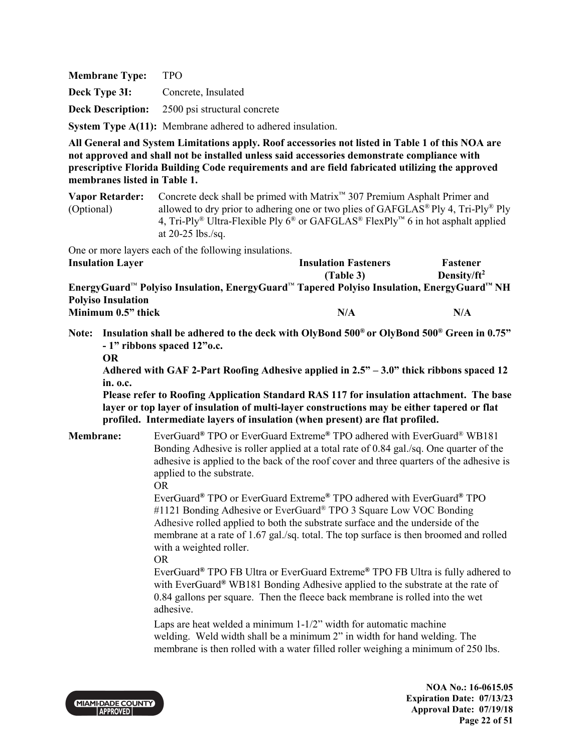**Membrane Type:** TPO **Deck Type 3I:** Concrete, Insulated **Deck Description:** 2500 psi structural concrete **System Type A(11):** Membrane adhered to adhered insulation.

**All General and System Limitations apply. Roof accessories not listed in Table 1 of this NOA are not approved and shall not be installed unless said accessories demonstrate compliance with prescriptive Florida Building Code requirements and are field fabricated utilizing the approved membranes listed in Table 1.**

**Vapor Retarder:** Concrete deck shall be primed with Matrix™ 307 Premium Asphalt Primer and (Optional) allowed to dry prior to adhering one or two plies of  $GAFGLAS^{\circledast}$  Ply 4, Tri-Ply<sup>®</sup> Ply 4, Tri-Ply<sup>®</sup> Ultra-Flexible Ply  $6^{\circledast}$  or GAFGLAS<sup>®</sup> FlexPly<sup>™</sup> 6 in hot asphalt applied at 20-25 lbs./sq.

One or more layers each of the following insulations.<br>
Investigation I among

| <b>Insulation Layer</b>                                                                                                       | <b>Insulation Fasteners</b> | <b>Fastener</b> |
|-------------------------------------------------------------------------------------------------------------------------------|-----------------------------|-----------------|
|                                                                                                                               | (Table 3)                   | Density/ $ft^2$ |
| EnergyGuard <sup>™</sup> Polyiso Insulation, EnergyGuard <sup>™</sup> Tapered Polyiso Insulation, EnergyGuard <sup>™</sup> NH |                             |                 |
| <b>Polyiso Insulation</b>                                                                                                     |                             |                 |
| Minimum 0.5" thick                                                                                                            | N/A                         | N/A             |

**Note: Insulation shall be adhered to the deck with OlyBond 500® or OlyBond 500® Green in 0.75" - 1" ribbons spaced 12"o.c.** 

**Adhered with GAF 2-Part Roofing Adhesive applied in 2.5" – 3.0" thick ribbons spaced 12 in. o.c.** 

 **Please refer to Roofing Application Standard RAS 117 for insulation attachment. The base layer or top layer of insulation of multi-layer constructions may be either tapered or flat profiled. Intermediate layers of insulation (when present) are flat profiled.**

**Membrane:** EverGuard**®** TPO or EverGuard Extreme**®** TPO adhered with EverGuard® WB181 Bonding Adhesive is roller applied at a total rate of 0.84 gal./sq. One quarter of the adhesive is applied to the back of the roof cover and three quarters of the adhesive is applied to the substrate.

OR

 EverGuard**®** TPO or EverGuard Extreme**®** TPO adhered with EverGuard**®** TPO #1121 Bonding Adhesive or EverGuard<sup>®</sup> TPO 3 Square Low VOC Bonding Adhesive rolled applied to both the substrate surface and the underside of the membrane at a rate of 1.67 gal./sq. total. The top surface is then broomed and rolled with a weighted roller.

OR

 EverGuard**®** TPO FB Ultra or EverGuard Extreme**®** TPO FB Ultra is fully adhered to with EverGuard**®** WB181 Bonding Adhesive applied to the substrate at the rate of 0.84 gallons per square. Then the fleece back membrane is rolled into the wet adhesive.

> Laps are heat welded a minimum 1-1/2" width for automatic machine welding. Weld width shall be a minimum 2" in width for hand welding. The membrane is then rolled with a water filled roller weighing a minimum of 250 lbs.



**NOA No.: 16-0615.05 Expiration Date: 07/13/23 Approval Date: 07/19/18 Page 22 of 51** 

**Fastener** 

**OR**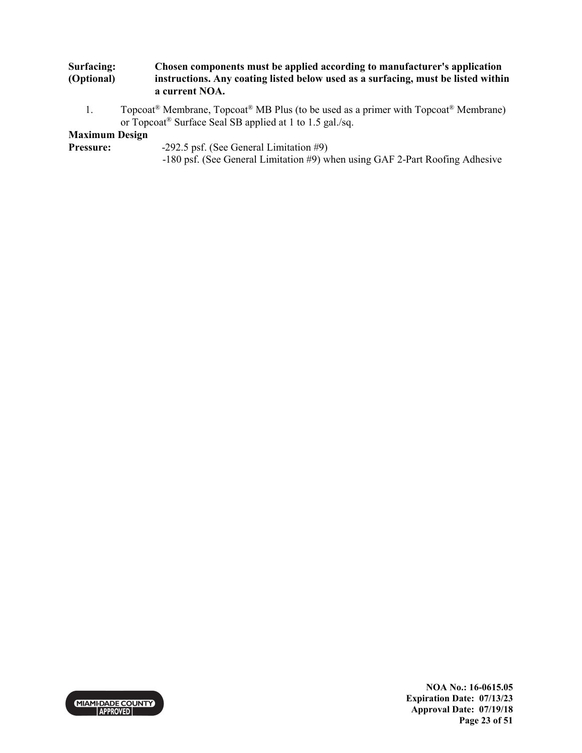#### **Surfacing: (Optional) Chosen components must be applied according to manufacturer's application instructions. Any coating listed below used as a surfacing, must be listed within a current NOA.**

1. Topcoat<sup>®</sup> Membrane, Topcoat<sup>®</sup> MB Plus (to be used as a primer with Topcoat<sup>®</sup> Membrane) or Topcoat® Surface Seal SB applied at 1 to 1.5 gal./sq.

# **Maximum Design**

- **Pressure:** -292.5 psf. (See General Limitation #9)
	- -180 psf. (See General Limitation #9) when using GAF 2-Part Roofing Adhesive



**NOA No.: 16-0615.05 Expiration Date: 07/13/23 Approval Date: 07/19/18 Page 23 of 51**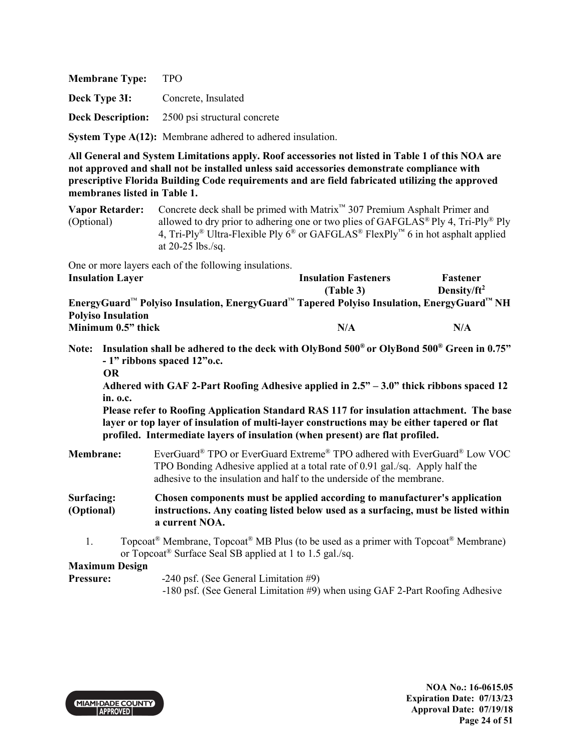**Deck Type 3I:** Concrete, Insulated

**Deck Description:** 2500 psi structural concrete

**System Type A(12):** Membrane adhered to adhered insulation.

**All General and System Limitations apply. Roof accessories not listed in Table 1 of this NOA are not approved and shall not be installed unless said accessories demonstrate compliance with prescriptive Florida Building Code requirements and are field fabricated utilizing the approved membranes listed in Table 1.**

**Vapor Retarder:** Concrete deck shall be primed with Matrix™ 307 Premium Asphalt Primer and (Optional) allowed to dry prior to adhering one or two plies of GAFGLAS<sup>®</sup> Ply 4, Tri-Ply<sup>®</sup> Ply 4, Tri-Ply<sup>®</sup> Ultra-Flexible Ply  $6^{\circledast}$  or GAFGLAS<sup>®</sup> FlexPly<sup>™</sup> 6 in hot asphalt applied at 20-25 lbs./sq.

One or more layers each of the following insulations.

| <b>Insulation Layer</b>                                                                                                       | <b>Insulation Fasteners</b> | Fastener        |
|-------------------------------------------------------------------------------------------------------------------------------|-----------------------------|-----------------|
|                                                                                                                               | (Table 3)                   | Density/ $ft^2$ |
| EnergyGuard <sup>™</sup> Polyiso Insulation, EnergyGuard <sup>™</sup> Tapered Polyiso Insulation, EnergyGuard <sup>™</sup> NH |                             |                 |
| <b>Polyiso Insulation</b>                                                                                                     |                             |                 |
| Minimum 0.5" thick                                                                                                            | N/A                         | N/A             |

- **Note: Insulation shall be adhered to the deck with OlyBond 500® or OlyBond 500® Green in 0.75" - 1" ribbons spaced 12"o.c.** 
	- **OR**

**Adhered with GAF 2-Part Roofing Adhesive applied in 2.5" – 3.0" thick ribbons spaced 12 in. o.c.** 

**Please refer to Roofing Application Standard RAS 117 for insulation attachment. The base layer or top layer of insulation of multi-layer constructions may be either tapered or flat profiled. Intermediate layers of insulation (when present) are flat profiled.**

- **Membrane:** EverGuard® TPO or EverGuard Extreme® TPO adhered with EverGuard® Low VOC TPO Bonding Adhesive applied at a total rate of 0.91 gal./sq. Apply half the adhesive to the insulation and half to the underside of the membrane.
- **Surfacing: (Optional) Chosen components must be applied according to manufacturer's application instructions. Any coating listed below used as a surfacing, must be listed within a current NOA.** 
	- 1. Topcoat<sup>®</sup> Membrane, Topcoat<sup>®</sup> MB Plus (to be used as a primer with Topcoat<sup>®</sup> Membrane) or Topcoat® Surface Seal SB applied at 1 to 1.5 gal./sq.

## **Maximum Design**

- **Pressure:** -240 psf. (See General Limitation #9)
	- -180 psf. (See General Limitation #9) when using GAF 2-Part Roofing Adhesive

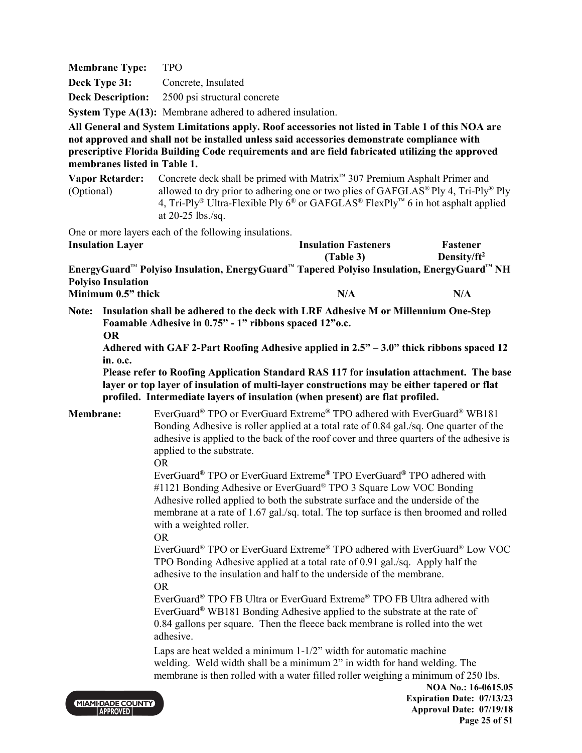| <b>Membrane Type:</b> | <b>TPO</b>                                                        |
|-----------------------|-------------------------------------------------------------------|
| Deck Type 3I:         | Concrete, Insulated                                               |
|                       | <b>Deck Description:</b> 2500 psi structural concrete             |
|                       | <b>System Type A(13):</b> Membrane adhered to adhered insulation. |

**Vapor Retarder:** Concrete deck shall be primed with Matrix™ 307 Premium Asphalt Primer and (Optional) allowed to dry prior to adhering one or two plies of GAFGLAS® Ply 4, Tri-Ply® Ply 4, Tri-Ply<sup>®</sup> Ultra-Flexible Ply  $6^{\circledast}$  or GAFGLAS<sup>®</sup> FlexPly<sup>™</sup> 6 in hot asphalt applied at 20-25 lbs./sq.

One or more layers each of the following insulations.

| <b>Insulation Layer</b>                                                                   | <b>Insulation Fasteners</b> | Fastener        |
|-------------------------------------------------------------------------------------------|-----------------------------|-----------------|
|                                                                                           | (Table 3)                   | Density/ $ft^2$ |
| EnergyGuard™ Polyiso Insulation, EnergyGuard™ Tapered Polyiso Insulation, EnergyGuard™ NH |                             |                 |
| <b>Polyiso Insulation</b>                                                                 |                             |                 |
| Minimum 0.5" thick                                                                        | N/A                         | N/A             |

**Note: Insulation shall be adhered to the deck with LRF Adhesive M or Millennium One-Step Foamable Adhesive in 0.75" - 1" ribbons spaced 12"o.c. OR** 

**Adhered with GAF 2-Part Roofing Adhesive applied in 2.5" – 3.0" thick ribbons spaced 12 in. o.c.** 

**Please refer to Roofing Application Standard RAS 117 for insulation attachment. The base layer or top layer of insulation of multi-layer constructions may be either tapered or flat profiled. Intermediate layers of insulation (when present) are flat profiled.**

**Membrane:** EverGuard**®** TPO or EverGuard Extreme**®** TPO adhered with EverGuard® WB181 Bonding Adhesive is roller applied at a total rate of 0.84 gal./sq. One quarter of the adhesive is applied to the back of the roof cover and three quarters of the adhesive is applied to the substrate.

OR

 EverGuard**®** TPO or EverGuard Extreme**®** TPO EverGuard**®** TPO adhered with #1121 Bonding Adhesive or EverGuard<sup>®</sup> TPO 3 Square Low VOC Bonding Adhesive rolled applied to both the substrate surface and the underside of the membrane at a rate of 1.67 gal./sq. total. The top surface is then broomed and rolled with a weighted roller.

OR

 EverGuard® TPO or EverGuard Extreme® TPO adhered with EverGuard® Low VOC TPO Bonding Adhesive applied at a total rate of 0.91 gal./sq. Apply half the adhesive to the insulation and half to the underside of the membrane. OR

 EverGuard**®** TPO FB Ultra or EverGuard Extreme**®** TPO FB Ultra adhered with EverGuard**®** WB181 Bonding Adhesive applied to the substrate at the rate of 0.84 gallons per square. Then the fleece back membrane is rolled into the wet adhesive.

> Laps are heat welded a minimum 1-1/2" width for automatic machine welding. Weld width shall be a minimum 2" in width for hand welding. The membrane is then rolled with a water filled roller weighing a minimum of 250 lbs.



**NOA No.: 16-0615.05 Expiration Date: 07/13/23 Approval Date: 07/19/18 Page 25 of 51**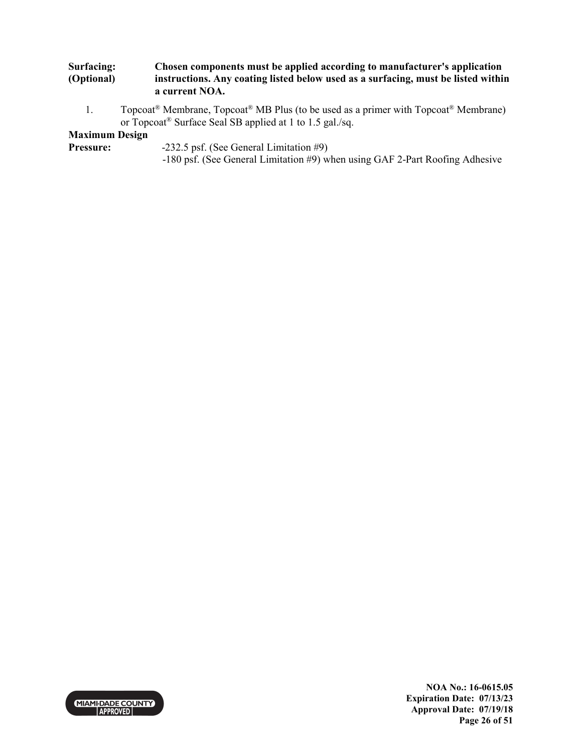#### **Surfacing: (Optional) Chosen components must be applied according to manufacturer's application instructions. Any coating listed below used as a surfacing, must be listed within a current NOA.**

1. Topcoat<sup>®</sup> Membrane, Topcoat<sup>®</sup> MB Plus (to be used as a primer with Topcoat<sup>®</sup> Membrane) or Topcoat® Surface Seal SB applied at 1 to 1.5 gal./sq.

# **Maximum Design**

- **Pressure:** -232.5 psf. (See General Limitation #9)
	- -180 psf. (See General Limitation #9) when using GAF 2-Part Roofing Adhesive



**NOA No.: 16-0615.05 Expiration Date: 07/13/23 Approval Date: 07/19/18 Page 26 of 51**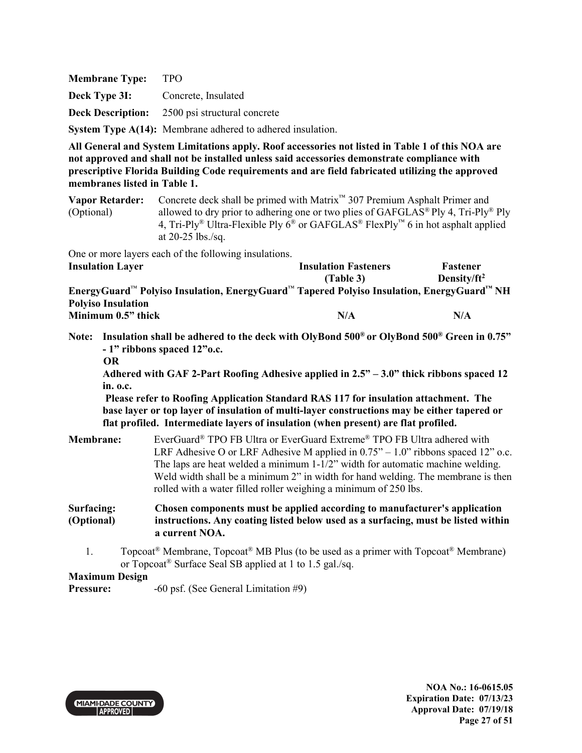**Membrane Type:** TPO **Deck Type 3I:** Concrete, Insulated **Deck Description:** 2500 psi structural concrete **System Type A(14):** Membrane adhered to adhered insulation.

**All General and System Limitations apply. Roof accessories not listed in Table 1 of this NOA are not approved and shall not be installed unless said accessories demonstrate compliance with prescriptive Florida Building Code requirements and are field fabricated utilizing the approved membranes listed in Table 1.**

**Vapor Retarder:** Concrete deck shall be primed with Matrix™ 307 Premium Asphalt Primer and (Optional) allowed to dry prior to adhering one or two plies of GAFGLAS® Ply 4, Tri-Ply® Ply 4, Tri-Ply<sup>®</sup> Ultra-Flexible Ply  $6^{\circledast}$  or GAFGLAS<sup>®</sup> FlexPly<sup>™</sup> 6 in hot asphalt applied at 20-25 lbs./sq.

One or more layers each of the following insulations.<br>Insulation I such

| <b>Insulation Layer</b>                                                                   | <b>Insulation Fasteners</b> | <b>Fastener</b> |
|-------------------------------------------------------------------------------------------|-----------------------------|-----------------|
|                                                                                           | (Table 3)                   | Density/ $ft^2$ |
| EnergyGuard™ Polyiso Insulation, EnergyGuard™ Tapered Polyiso Insulation, EnergyGuard™ NH |                             |                 |
| <b>Polyiso Insulation</b>                                                                 |                             |                 |
| Minimum 0.5" thick                                                                        | N/A                         | N/A             |

- **Note: Insulation shall be adhered to the deck with OlyBond 500® or OlyBond 500® Green in 0.75" - 1" ribbons spaced 12"o.c.** 
	- **OR**

**Adhered with GAF 2-Part Roofing Adhesive applied in 2.5" – 3.0" thick ribbons spaced 12 in. o.c.** 

 **Please refer to Roofing Application Standard RAS 117 for insulation attachment. The base layer or top layer of insulation of multi-layer constructions may be either tapered or flat profiled. Intermediate layers of insulation (when present) are flat profiled.** 

| <b>Membrane:</b>         | EverGuard <sup>®</sup> TPO FB Ultra or EverGuard Extreme <sup>®</sup> TPO FB Ultra adhered with<br>LRF Adhesive O or LRF Adhesive M applied in $0.75^{\prime\prime} - 1.0^{\prime\prime}$ ribbons spaced 12 <sup>"</sup> o.c.<br>The laps are heat welded a minimum $1-1/2$ " width for automatic machine welding. |
|--------------------------|--------------------------------------------------------------------------------------------------------------------------------------------------------------------------------------------------------------------------------------------------------------------------------------------------------------------|
|                          | Weld width shall be a minimum 2" in width for hand welding. The membrane is then<br>rolled with a water filled roller weighing a minimum of 250 lbs.                                                                                                                                                               |
| Surfacing:<br>(Optional) | Chosen components must be applied according to manufacturer's application<br>instructions. Any coating listed below used as a surfacing, must be listed within<br>a current NOA.                                                                                                                                   |

1. Topcoat<sup>®</sup> Membrane, Topcoat<sup>®</sup> MB Plus (to be used as a primer with Topcoat<sup>®</sup> Membrane) or Topcoat® Surface Seal SB applied at 1 to 1.5 gal./sq.

**Maximum Design** 

**Pressure:**  $-60 \text{ psf.}$  (See General Limitation #9)

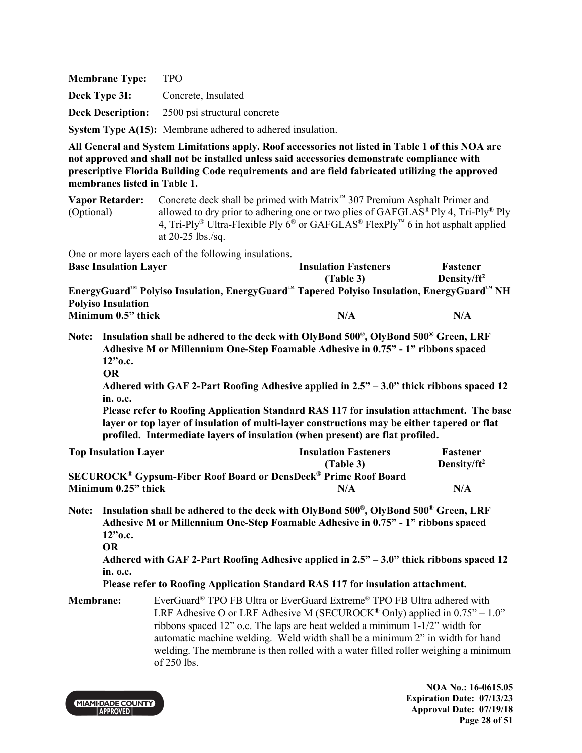| <b>Membrane Type:</b>                    | - TPO                                                             |
|------------------------------------------|-------------------------------------------------------------------|
| <b>Deck Type 3I:</b> Concrete, Insulated |                                                                   |
|                                          | <b>Deck Description:</b> 2500 psi structural concrete             |
|                                          | <b>System Type A(15):</b> Membrane adhered to adhered insulation. |

**Vapor Retarder:** Concrete deck shall be primed with Matrix™ 307 Premium Asphalt Primer and (Optional) allowed to dry prior to adhering one or two plies of GAFGLAS® Ply 4, Tri-Ply® Ply 4, Tri-Ply<sup>®</sup> Ultra-Flexible Ply  $6^{\circledast}$  or GAFGLAS<sup>®</sup> FlexPly<sup>™</sup> 6 in hot asphalt applied at 20-25 lbs./sq.

One or more layers each of the following insulations.

| <b>Base Insulation Layer</b>                                                              | <b>Insulation Fasteners</b> | <b>Fastener</b> |
|-------------------------------------------------------------------------------------------|-----------------------------|-----------------|
|                                                                                           | (Table 3)                   | Density/ $ft^2$ |
| EnergyGuard™ Polyiso Insulation, EnergyGuard™ Tapered Polyiso Insulation, EnergyGuard™ NH |                             |                 |
| <b>Polyiso Insulation</b>                                                                 |                             |                 |
| Minimum 0.5" thick                                                                        | N/A                         | N/A             |

**Note: Insulation shall be adhered to the deck with OlyBond 500® , OlyBond 500® Green, LRF Adhesive M or Millennium One-Step Foamable Adhesive in 0.75" - 1" ribbons spaced 12"o.c.** 

 **OR** 

**Adhered with GAF 2-Part Roofing Adhesive applied in 2.5" – 3.0" thick ribbons spaced 12 in. o.c.** 

**Please refer to Roofing Application Standard RAS 117 for insulation attachment. The base layer or top layer of insulation of multi-layer constructions may be either tapered or flat profiled. Intermediate layers of insulation (when present) are flat profiled.** 

| <b>Top Insulation Layer</b>                                                                  | <b>Insulation Fasteners</b> | <b>Fastener</b> |
|----------------------------------------------------------------------------------------------|-----------------------------|-----------------|
|                                                                                              | (Table 3)                   | Density/ $ft^2$ |
| <b>SECUROCK<sup>®</sup> Gypsum-Fiber Roof Board or DensDeck<sup>®</sup> Prime Roof Board</b> |                             |                 |
| Minimum $0.25$ " thick                                                                       | N/A                         | N/A             |

**Note: Insulation shall be adhered to the deck with OlyBond 500® , OlyBond 500® Green, LRF Adhesive M or Millennium One-Step Foamable Adhesive in 0.75" - 1" ribbons spaced 12"o.c.** 

**Adhered with GAF 2-Part Roofing Adhesive applied in 2.5" – 3.0" thick ribbons spaced 12 in. o.c.** 

**Please refer to Roofing Application Standard RAS 117 for insulation attachment.** 

**Membrane:** EverGuard® TPO FB Ultra or EverGuard Extreme® TPO FB Ultra adhered with LRF Adhesive O or LRF Adhesive M (SECUROCK<sup>®</sup> Only) applied in 0.75" – 1.0" ribbons spaced 12" o.c. The laps are heat welded a minimum 1-1/2" width for automatic machine welding. Weld width shall be a minimum 2" in width for hand welding. The membrane is then rolled with a water filled roller weighing a minimum of 250 lbs.



**NOA No.: 16-0615.05 Expiration Date: 07/13/23 Approval Date: 07/19/18 Page 28 of 51** 

**OR**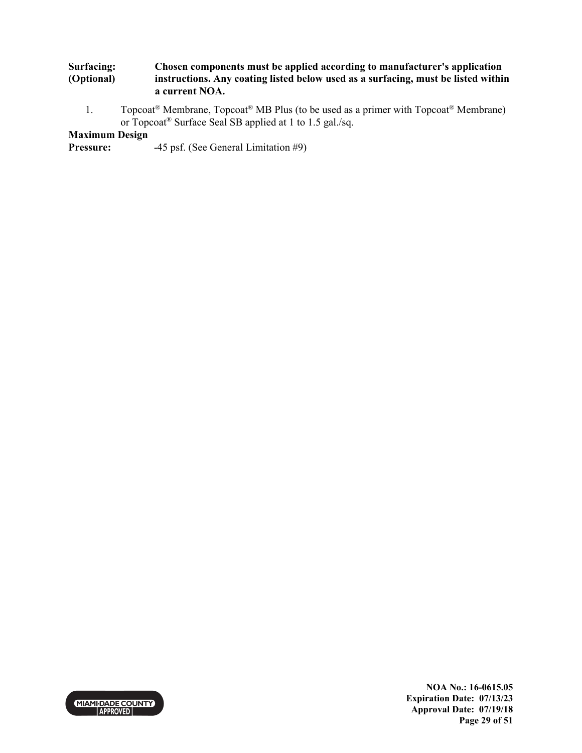#### **Surfacing: (Optional) Chosen components must be applied according to manufacturer's application instructions. Any coating listed below used as a surfacing, must be listed within a current NOA.**

1. Topcoat<sup>®</sup> Membrane, Topcoat<sup>®</sup> MB Plus (to be used as a primer with Topcoat<sup>®</sup> Membrane) or Topcoat® Surface Seal SB applied at 1 to 1.5 gal./sq.

# **Maximum Design**

**Pressure:** -45 psf. (See General Limitation #9)



**NOA No.: 16-0615.05 Expiration Date: 07/13/23 Approval Date: 07/19/18 Page 29 of 51**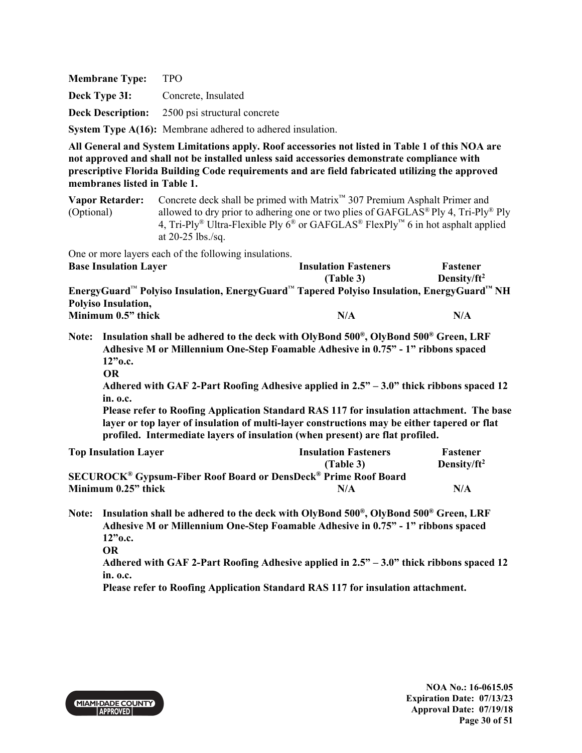| <b>Membrane Type:</b>                    | - TPO                                                      |
|------------------------------------------|------------------------------------------------------------|
| <b>Deck Type 3I:</b> Concrete, Insulated |                                                            |
|                                          | <b>Deck Description:</b> 2500 psi structural concrete      |
|                                          | System Type A(16): Membrane adhered to adhered insulation. |

**Vapor Retarder:** Concrete deck shall be primed with Matrix™ 307 Premium Asphalt Primer and (Optional) allowed to dry prior to adhering one or two plies of GAFGLAS® Ply 4, Tri-Ply® Ply 4, Tri-Ply<sup>®</sup> Ultra-Flexible Ply  $6^{\circledast}$  or GAFGLAS<sup>®</sup> FlexPly<sup>™</sup> 6 in hot asphalt applied at 20-25 lbs./sq.

One or more layers each of the following insulations.

| <b>Base Insulation Layer</b>                                                              | <b>Insulation Fasteners</b> | <b>Fastener</b> |
|-------------------------------------------------------------------------------------------|-----------------------------|-----------------|
|                                                                                           | (Table 3)                   | Density/ $ft^2$ |
| EnergyGuard™ Polyiso Insulation, EnergyGuard™ Tapered Polyiso Insulation, EnergyGuard™ NH |                             |                 |
| <b>Polyiso Insulation,</b>                                                                |                             |                 |
| Minimum 0.5" thick                                                                        | N/A                         | N/A             |

**Note: Insulation shall be adhered to the deck with OlyBond 500® , OlyBond 500® Green, LRF Adhesive M or Millennium One-Step Foamable Adhesive in 0.75" - 1" ribbons spaced 12"o.c.** 

 **OR** 

**Adhered with GAF 2-Part Roofing Adhesive applied in 2.5" – 3.0" thick ribbons spaced 12 in. o.c.** 

**Please refer to Roofing Application Standard RAS 117 for insulation attachment. The base layer or top layer of insulation of multi-layer constructions may be either tapered or flat profiled. Intermediate layers of insulation (when present) are flat profiled.** 

| <b>Top Insulation Layer</b> | <b>Insulation Fasteners</b>                                                                  | <b>Fastener</b> |
|-----------------------------|----------------------------------------------------------------------------------------------|-----------------|
|                             | (Table 3)                                                                                    | Density/ $ft^2$ |
|                             | <b>SECUROCK<sup>®</sup> Gypsum-Fiber Roof Board or DensDeck<sup>®</sup> Prime Roof Board</b> |                 |
| Minimum 0.25" thick         | N/A                                                                                          | N/A             |

**Note: Insulation shall be adhered to the deck with OlyBond 500® , OlyBond 500® Green, LRF Adhesive M or Millennium One-Step Foamable Adhesive in 0.75" - 1" ribbons spaced 12"o.c.** 

**Adhered with GAF 2-Part Roofing Adhesive applied in 2.5" – 3.0" thick ribbons spaced 12 in. o.c.** 

**Please refer to Roofing Application Standard RAS 117 for insulation attachment.** 



**OR**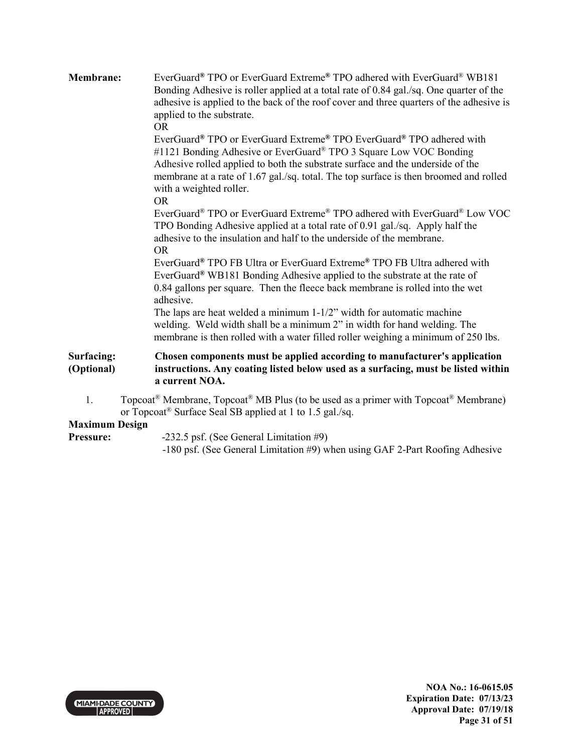| Membrane:                   | EverGuard® TPO or EverGuard Extreme® TPO adhered with EverGuard® WB181<br>Bonding Adhesive is roller applied at a total rate of 0.84 gal./sq. One quarter of the<br>adhesive is applied to the back of the roof cover and three quarters of the adhesive is<br>applied to the substrate.<br><b>OR</b><br>EverGuard® TPO or EverGuard Extreme® TPO EverGuard® TPO adhered with                                                                                                                   |
|-----------------------------|-------------------------------------------------------------------------------------------------------------------------------------------------------------------------------------------------------------------------------------------------------------------------------------------------------------------------------------------------------------------------------------------------------------------------------------------------------------------------------------------------|
|                             | #1121 Bonding Adhesive or EverGuard® TPO 3 Square Low VOC Bonding<br>Adhesive rolled applied to both the substrate surface and the underside of the<br>membrane at a rate of 1.67 gal./sq. total. The top surface is then broomed and rolled<br>with a weighted roller.<br><b>OR</b>                                                                                                                                                                                                            |
|                             | EverGuard® TPO or EverGuard Extreme® TPO adhered with EverGuard® Low VOC<br>TPO Bonding Adhesive applied at a total rate of 0.91 gal./sq. Apply half the<br>adhesive to the insulation and half to the underside of the membrane.<br><b>OR</b>                                                                                                                                                                                                                                                  |
|                             | EverGuard® TPO FB Ultra or EverGuard Extreme® TPO FB Ultra adhered with<br>EverGuard® WB181 Bonding Adhesive applied to the substrate at the rate of<br>0.84 gallons per square. Then the fleece back membrane is rolled into the wet<br>adhesive.<br>The laps are heat welded a minimum $1-1/2$ " width for automatic machine<br>welding. Weld width shall be a minimum 2" in width for hand welding. The<br>membrane is then rolled with a water filled roller weighing a minimum of 250 lbs. |
| Surfacing:<br>(Optional)    | Chosen components must be applied according to manufacturer's application<br>instructions. Any coating listed below used as a surfacing, must be listed within<br>a current NOA.                                                                                                                                                                                                                                                                                                                |
| 1.<br><b>Maximum Design</b> | Topcoat <sup>®</sup> Membrane, Topcoat <sup>®</sup> MB Plus (to be used as a primer with Topcoat <sup>®</sup> Membrane)<br>or Topcoat <sup>®</sup> Surface Seal SB applied at 1 to 1.5 gal./sq.                                                                                                                                                                                                                                                                                                 |
|                             | $\alpha$ and $\alpha$ are $\alpha$ and $\alpha$ are $\alpha$ and $\alpha$ are $\alpha$ and $\alpha$ are $\alpha$ and $\alpha$ are $\alpha$ and $\alpha$ are $\alpha$ and $\alpha$ are $\alpha$ and $\alpha$ are $\alpha$ and $\alpha$ are $\alpha$ and $\alpha$ are $\alpha$ and $\alpha$ are $\alpha$ and $\alpha$ are $\alpha$                                                                                                                                                                |

Pressure: -232.5 psf. (See General Limitation #9)

-180 psf. (See General Limitation #9) when using GAF 2-Part Roofing Adhesive

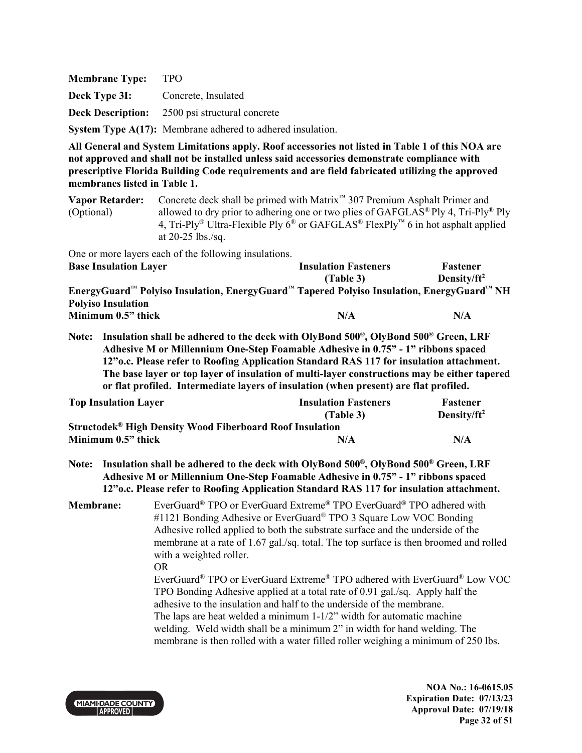**Membrane Type:** TPO **Deck Type 3I:** Concrete, Insulated **Deck Description:** 2500 psi structural concrete **System Type A(17):** Membrane adhered to adhered insulation.

**All General and System Limitations apply. Roof accessories not listed in Table 1 of this NOA are not approved and shall not be installed unless said accessories demonstrate compliance with prescriptive Florida Building Code requirements and are field fabricated utilizing the approved membranes listed in Table 1.**

**Vapor Retarder:** Concrete deck shall be primed with Matrix™ 307 Premium Asphalt Primer and (Optional) allowed to dry prior to adhering one or two plies of GAFGLAS® Ply 4, Tri-Ply® Ply 4, Tri-Ply<sup>®</sup> Ultra-Flexible Ply  $6^{\circledast}$  or GAFGLAS<sup>®</sup> FlexPly<sup>™</sup> 6 in hot asphalt applied at 20-25 lbs./sq.

One or more layers each of the following insulations.

| <b>Base Insulation Layer</b>                                                              | <b>Insulation Fasteners</b> | Fastener        |
|-------------------------------------------------------------------------------------------|-----------------------------|-----------------|
|                                                                                           | (Table 3)                   | Density/ $ft^2$ |
| EnergyGuard™ Polyiso Insulation, EnergyGuard™ Tapered Polyiso Insulation, EnergyGuard™ NH |                             |                 |
| <b>Polyiso Insulation</b>                                                                 |                             |                 |
| Minimum 0.5" thick                                                                        | N/A                         | N/A             |

**Note: Insulation shall be adhered to the deck with OlyBond 500® , OlyBond 500® Green, LRF Adhesive M or Millennium One-Step Foamable Adhesive in 0.75" - 1" ribbons spaced 12"o.c. Please refer to Roofing Application Standard RAS 117 for insulation attachment. The base layer or top layer of insulation of multi-layer constructions may be either tapered or flat profiled. Intermediate layers of insulation (when present) are flat profiled.** 

| <b>Top Insulation Layer</b>                                                | <b>Insulation Fasteners</b> | Fastener        |
|----------------------------------------------------------------------------|-----------------------------|-----------------|
|                                                                            | (Table 3)                   | Density/ $ft^2$ |
| <b>Structodek<sup>®</sup> High Density Wood Fiberboard Roof Insulation</b> |                             |                 |
| Minimum 0.5" thick                                                         | N/A                         | N/A             |

**Note: Insulation shall be adhered to the deck with OlyBond 500® , OlyBond 500® Green, LRF Adhesive M or Millennium One-Step Foamable Adhesive in 0.75" - 1" ribbons spaced 12"o.c. Please refer to Roofing Application Standard RAS 117 for insulation attachment.** 

**Membrane:** EverGuard**®** TPO or EverGuard Extreme**®** TPO EverGuard**®** TPO adhered with #1121 Bonding Adhesive or EverGuard<sup>®</sup> TPO 3 Square Low VOC Bonding Adhesive rolled applied to both the substrate surface and the underside of the membrane at a rate of 1.67 gal./sq. total. The top surface is then broomed and rolled with a weighted roller. OR

 EverGuard® TPO or EverGuard Extreme® TPO adhered with EverGuard® Low VOC TPO Bonding Adhesive applied at a total rate of 0.91 gal./sq. Apply half the adhesive to the insulation and half to the underside of the membrane. The laps are heat welded a minimum 1-1/2" width for automatic machine welding. Weld width shall be a minimum 2" in width for hand welding. The membrane is then rolled with a water filled roller weighing a minimum of 250 lbs.



**NOA No.: 16-0615.05 Expiration Date: 07/13/23 Approval Date: 07/19/18 Page 32 of 51**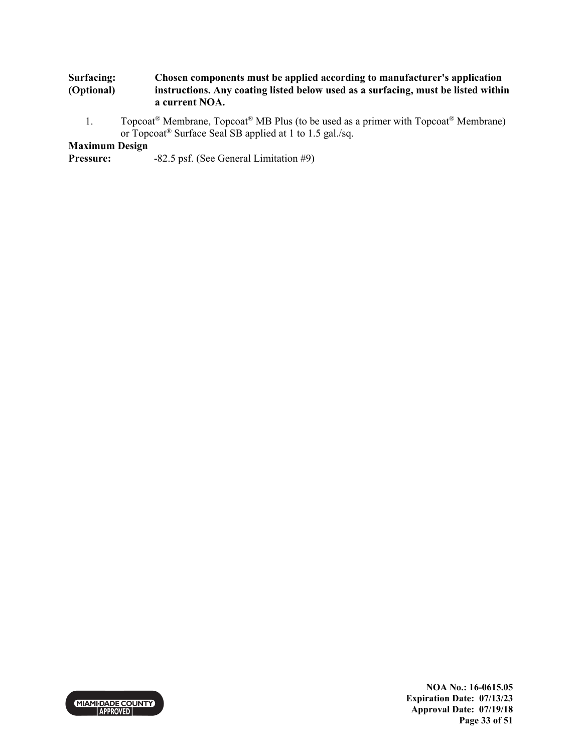#### **Surfacing: (Optional) Chosen components must be applied according to manufacturer's application instructions. Any coating listed below used as a surfacing, must be listed within a current NOA.**

1. Topcoat<sup>®</sup> Membrane, Topcoat<sup>®</sup> MB Plus (to be used as a primer with Topcoat<sup>®</sup> Membrane) or Topcoat® Surface Seal SB applied at 1 to 1.5 gal./sq.

## **Maximum Design**

**Pressure:** -82.5 psf. (See General Limitation #9)



**NOA No.: 16-0615.05 Expiration Date: 07/13/23 Approval Date: 07/19/18 Page 33 of 51**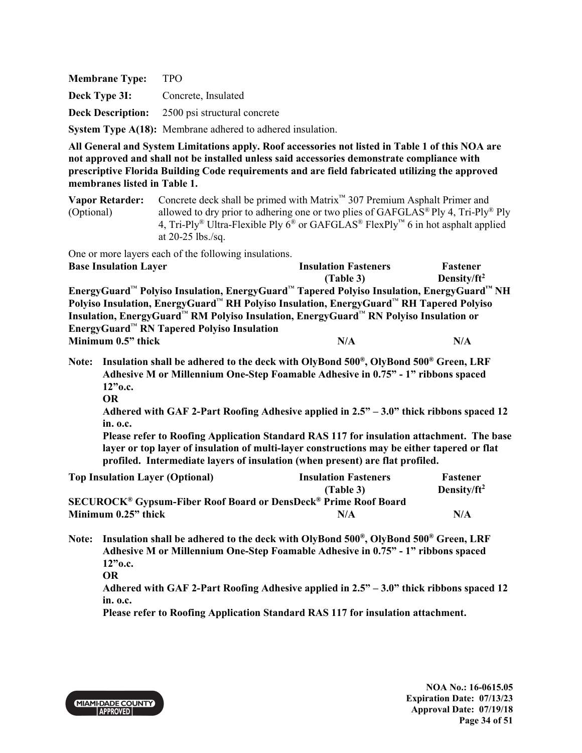**Membrane Type:** TPO **Deck Type 3I:** Concrete, Insulated **Deck Description:** 2500 psi structural concrete **System Type A(18):** Membrane adhered to adhered insulation.

**All General and System Limitations apply. Roof accessories not listed in Table 1 of this NOA are not approved and shall not be installed unless said accessories demonstrate compliance with prescriptive Florida Building Code requirements and are field fabricated utilizing the approved membranes listed in Table 1.**

**Vapor Retarder:** Concrete deck shall be primed with Matrix™ 307 Premium Asphalt Primer and (Optional) allowed to dry prior to adhering one or two plies of GAFGLAS<sup>®</sup> Ply 4, Tri-Ply<sup>®</sup> Ply 4, Tri-Ply<sup>®</sup> Ultra-Flexible Ply  $6^{\circledast}$  or GAFGLAS<sup>®</sup> FlexPly<sup>™</sup> 6 in hot asphalt applied at 20-25 lbs./sq.

One or more layers each of the following insulations.

| <b>Base Insulation Layer</b>                                                                                  | <b>Insulation Fasteners</b> | Fastener        |
|---------------------------------------------------------------------------------------------------------------|-----------------------------|-----------------|
|                                                                                                               | (Table 3)                   | Density/ $ft^2$ |
| EnergyGuard™ Polyiso Insulation, EnergyGuard™ Tapered Polyiso Insulation, EnergyGuard™ NH                     |                             |                 |
| Polyiso Insulation, EnergyGuard <sup>™</sup> RH Polyiso Insulation, EnergyGuard™ RH Tapered Polyiso           |                             |                 |
| Insulation, EnergyGuard <sup>™</sup> RM Polyiso Insulation, EnergyGuard <sup>™</sup> RN Polyiso Insulation or |                             |                 |
| EnergyGuard <sup>™</sup> RN Tapered Polyiso Insulation                                                        |                             |                 |
| Minimum 0.5" thick                                                                                            | N/A                         | N/A             |

- **Note: Insulation shall be adhered to the deck with OlyBond 500® , OlyBond 500® Green, LRF Adhesive M or Millennium One-Step Foamable Adhesive in 0.75" - 1" ribbons spaced 12"o.c.** 
	- **OR**

**Adhered with GAF 2-Part Roofing Adhesive applied in 2.5" – 3.0" thick ribbons spaced 12 in. o.c.** 

 **Please refer to Roofing Application Standard RAS 117 for insulation attachment. The base layer or top layer of insulation of multi-layer constructions may be either tapered or flat profiled. Intermediate layers of insulation (when present) are flat profiled.** 

| <b>Top Insulation Layer (Optional)</b>                                                       | <b>Insulation Fasteners</b> | <b>Fastener</b> |
|----------------------------------------------------------------------------------------------|-----------------------------|-----------------|
|                                                                                              | (Table 3)                   | Density/ $ft^2$ |
| <b>SECUROCK<sup>®</sup> Gypsum-Fiber Roof Board or DensDeck<sup>®</sup> Prime Roof Board</b> |                             |                 |
| Minimum 0.25" thick                                                                          | N/A                         | N/A             |

**Note: Insulation shall be adhered to the deck with OlyBond 500® , OlyBond 500® Green, LRF Adhesive M or Millennium One-Step Foamable Adhesive in 0.75" - 1" ribbons spaced 12"o.c. OR** 

**Adhered with GAF 2-Part Roofing Adhesive applied in 2.5" – 3.0" thick ribbons spaced 12 in. o.c.** 

 **Please refer to Roofing Application Standard RAS 117 for insulation attachment.** 



**NOA No.: 16-0615.05 Expiration Date: 07/13/23 Approval Date: 07/19/18 Page 34 of 51**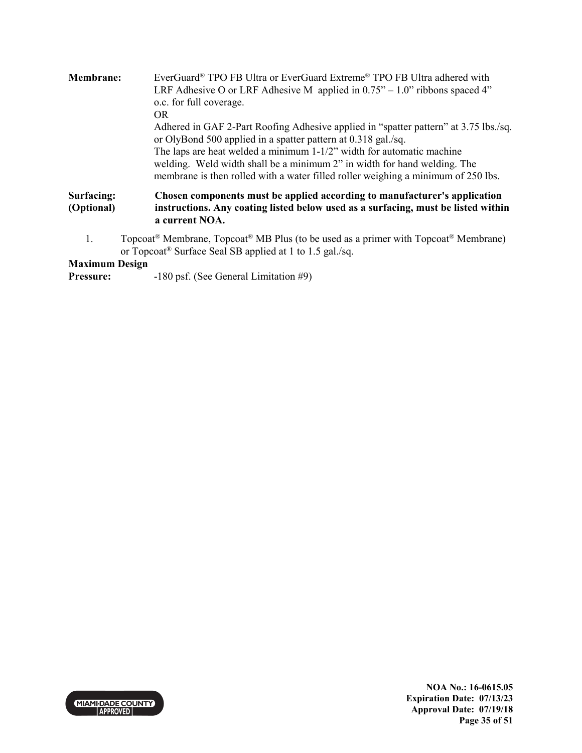| <b>Membrane:</b>         | EverGuard® TPO FB Ultra or EverGuard Extreme® TPO FB Ultra adhered with<br>LRF Adhesive O or LRF Adhesive M applied in $0.75^{\prime\prime} - 1.0^{\prime\prime}$ ribbons spaced 4"<br>o.c. for full coverage.<br>OR.                                                                                                                                                                              |
|--------------------------|----------------------------------------------------------------------------------------------------------------------------------------------------------------------------------------------------------------------------------------------------------------------------------------------------------------------------------------------------------------------------------------------------|
|                          | Adhered in GAF 2-Part Roofing Adhesive applied in "spatter pattern" at 3.75 lbs./sq.<br>or OlyBond 500 applied in a spatter pattern at 0.318 gal./sq.<br>The laps are heat welded a minimum $1-1/2$ " width for automatic machine<br>welding. Weld width shall be a minimum 2" in width for hand welding. The<br>membrane is then rolled with a water filled roller weighing a minimum of 250 lbs. |
| Surfacing:<br>(Optional) | Chosen components must be applied according to manufacturer's application<br>instructions. Any coating listed below used as a surfacing, must be listed within<br>a current NOA.                                                                                                                                                                                                                   |
| 1.                       | Topcoat <sup>®</sup> Membrane, Topcoat <sup>®</sup> MB Plus (to be used as a primer with Topcoat <sup>®</sup> Membrane)<br>or Topcoat <sup>®</sup> Surface Seal SB applied at 1 to 1.5 gal./sq.                                                                                                                                                                                                    |

## **Maximum Design**

**Pressure:** -180 psf. (See General Limitation #9)

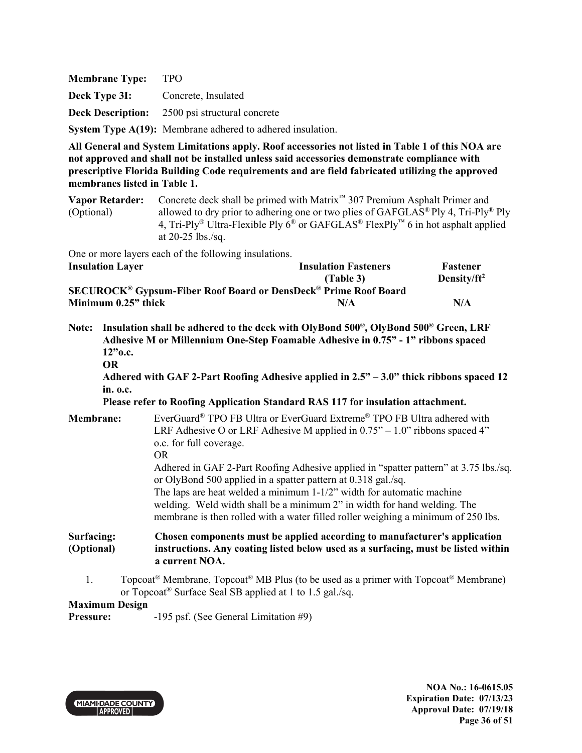**Membrane Type:** TPO **Deck Type 3I:** Concrete, Insulated **Deck Description:** 2500 psi structural concrete **System Type A(19):** Membrane adhered to adhered insulation.

**All General and System Limitations apply. Roof accessories not listed in Table 1 of this NOA are not approved and shall not be installed unless said accessories demonstrate compliance with prescriptive Florida Building Code requirements and are field fabricated utilizing the approved membranes listed in Table 1.**

**Vapor Retarder:** Concrete deck shall be primed with Matrix™ 307 Premium Asphalt Primer and (Optional) allowed to dry prior to adhering one or two plies of GAFGLAS® Ply 4, Tri-Ply® Ply 4, Tri-Ply<sup>®</sup> Ultra-Flexible Ply  $6^{\circledast}$  or GAFGLAS<sup>®</sup> FlexPly<sup>™</sup> 6 in hot asphalt applied at 20-25 lbs./sq.

One or more layers each of the following insulations.

| <b>Insulation Layer</b>                                                                      | <b>Insulation Fasteners</b> | <b>Fastener</b> |
|----------------------------------------------------------------------------------------------|-----------------------------|-----------------|
|                                                                                              | (Table 3)                   | Density/ $ft^2$ |
| <b>SECUROCK<sup>®</sup> Gypsum-Fiber Roof Board or DensDeck<sup>®</sup> Prime Roof Board</b> |                             |                 |
| Minimum 0.25" thick                                                                          | N/A                         | N/A             |

- **Note: Insulation shall be adhered to the deck with OlyBond 500® , OlyBond 500® Green, LRF Adhesive M or Millennium One-Step Foamable Adhesive in 0.75" - 1" ribbons spaced 12"o.c.** 
	- **OR**

**Adhered with GAF 2-Part Roofing Adhesive applied in 2.5" – 3.0" thick ribbons spaced 12 in. o.c.** 

 **Please refer to Roofing Application Standard RAS 117 for insulation attachment.** 

**Membrane:** EverGuard® TPO FB Ultra or EverGuard Extreme® TPO FB Ultra adhered with LRF Adhesive O or LRF Adhesive M applied in  $0.75^{\prime\prime} - 1.0^{\prime\prime}$  ribbons spaced 4" o.c. for full coverage. OR Adhered in GAF 2-Part Roofing Adhesive applied in "spatter pattern" at 3.75 lbs./sq. or OlyBond 500 applied in a spatter pattern at 0.318 gal./sq. The laps are heat welded a minimum 1-1/2" width for automatic machine welding. Weld width shall be a minimum 2" in width for hand welding. The membrane is then rolled with a water filled roller weighing a minimum of 250 lbs. **Surfacing: (Optional) Chosen components must be applied according to manufacturer's application instructions. Any coating listed below used as a surfacing, must be listed within a current NOA.** 

1. Topcoat<sup>®</sup> Membrane, Topcoat<sup>®</sup> MB Plus (to be used as a primer with Topcoat<sup>®</sup> Membrane) or Topcoat® Surface Seal SB applied at 1 to 1.5 gal./sq.

## **Maximum Design**

**Pressure:** -195 psf. (See General Limitation #9)

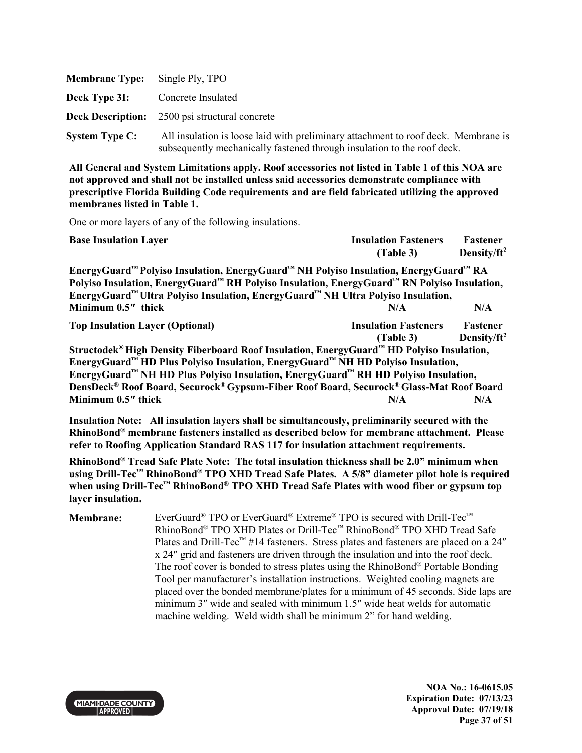| <b>Membrane Type:</b> | Single Ply, TPO                                                                                                                                               |
|-----------------------|---------------------------------------------------------------------------------------------------------------------------------------------------------------|
| Deck Type 3I:         | Concrete Insulated                                                                                                                                            |
|                       | <b>Deck Description:</b> 2500 psi structural concrete                                                                                                         |
| <b>System Type C:</b> | All insulation is loose laid with preliminary attachment to roof deck. Membrane is<br>subsequently mechanically fastened through insulation to the roof deck. |

One or more layers of any of the following insulations.

| <b>Base Insulation Layer</b>                                                                                                                                                                                                                                                                                                                                                                   | <b>Insulation Fasteners</b><br>(Table 3) | Fastener<br>Density/ft <sup>2</sup>        |
|------------------------------------------------------------------------------------------------------------------------------------------------------------------------------------------------------------------------------------------------------------------------------------------------------------------------------------------------------------------------------------------------|------------------------------------------|--------------------------------------------|
| EnergyGuard™ Polyiso Insulation, EnergyGuard™ NH Polyiso Insulation, EnergyGuard™ RA<br>Polyiso Insulation, EnergyGuard™ RH Polyiso Insulation, EnergyGuard™ RN Polyiso Insulation,<br>EnergyGuard <sup>™</sup> Ultra Polyiso Insulation, EnergyGuard™ NH Ultra Polyiso Insulation,                                                                                                            |                                          |                                            |
| Minimum 0.5" thick                                                                                                                                                                                                                                                                                                                                                                             | N/A                                      | N/A                                        |
| <b>Top Insulation Layer (Optional)</b>                                                                                                                                                                                                                                                                                                                                                         | <b>Insulation Fasteners</b><br>(Table 3) | <b>Fastener</b><br>Density/ft <sup>2</sup> |
| Structodek <sup>®</sup> High Density Fiberboard Roof Insulation, EnergyGuard™ HD Polyiso Insulation,<br>EnergyGuard™ HD Plus Polyiso Insulation, EnergyGuard™ NH HD Polyiso Insulation,<br>EnergyGuard™ NH HD Plus Polyiso Insulation, EnergyGuard™ RH HD Polyiso Insulation,<br>DensDeck® Roof Board, Securock® Gypsum-Fiber Roof Board, Securock® Glass-Mat Roof Board<br>Minimum 0.5" thick | N/A                                      | N/A                                        |

**Insulation Note: All insulation layers shall be simultaneously, preliminarily secured with the RhinoBond® membrane fasteners installed as described below for membrane attachment. Please refer to Roofing Application Standard RAS 117 for insulation attachment requirements.** 

**RhinoBond® Tread Safe Plate Note: The total insulation thickness shall be 2.0" minimum when using Drill-Tec™ RhinoBond® TPO XHD Tread Safe Plates. A 5/8" diameter pilot hole is required when using Drill-Tec™ RhinoBond® TPO XHD Tread Safe Plates with wood fiber or gypsum top layer insulation.**

**Membrane:** EverGuard<sup>®</sup> TPO or EverGuard<sup>®</sup> Extreme<sup>®</sup> TPO is secured with Drill-Tec<sup>™</sup> RhinoBond® TPO XHD Plates or Drill-Tec™ RhinoBond® TPO XHD Tread Safe Plates and Drill-Tec<sup>™</sup> #14 fasteners. Stress plates and fasteners are placed on a 24" x 24″ grid and fasteners are driven through the insulation and into the roof deck. The roof cover is bonded to stress plates using the RhinoBond® Portable Bonding Tool per manufacturer's installation instructions. Weighted cooling magnets are placed over the bonded membrane/plates for a minimum of 45 seconds. Side laps are minimum 3″ wide and sealed with minimum 1.5″ wide heat welds for automatic machine welding. Weld width shall be minimum 2" for hand welding.



**NOA No.: 16-0615.05 Expiration Date: 07/13/23 Approval Date: 07/19/18 Page 37 of 51**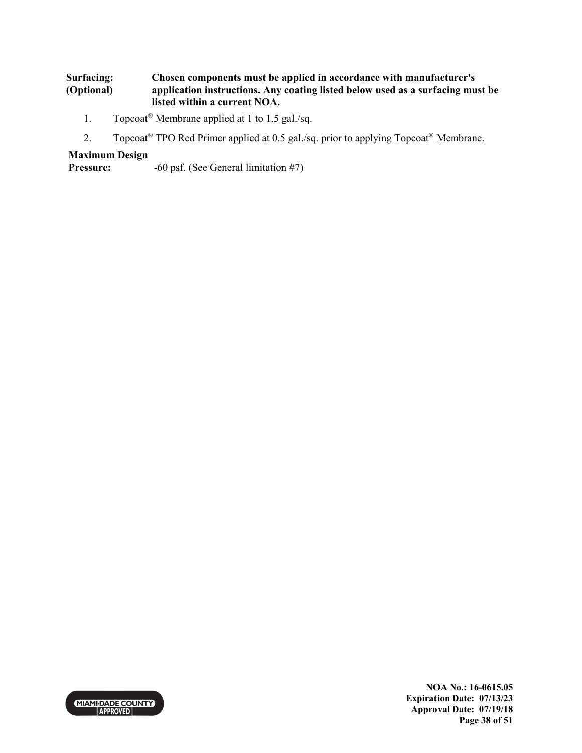#### **Surfacing: (Optional) Chosen components must be applied in accordance with manufacturer's application instructions. Any coating listed below used as a surfacing must be listed within a current NOA.**

- 1. Topcoat® Membrane applied at 1 to 1.5 gal./sq.
- 2. Topcoat<sup>®</sup> TPO Red Primer applied at 0.5 gal./sq. prior to applying Topcoat<sup>®</sup> Membrane.

## **Maximum Design**

**Pressure:**  $-60 \text{ psf.}$  (See General limitation #7)



**NOA No.: 16-0615.05 Expiration Date: 07/13/23 Approval Date: 07/19/18 Page 38 of 51**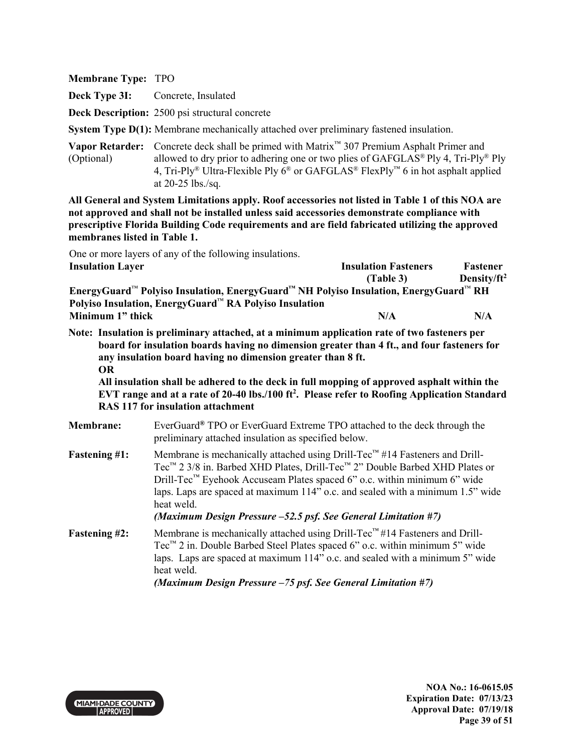**Deck Type 3I:** Concrete, Insulated

**Deck Description:** 2500 psi structural concrete

**System Type D(1):** Membrane mechanically attached over preliminary fastened insulation.

**Vapor Retarder:** Concrete deck shall be primed with Matrix™ 307 Premium Asphalt Primer and (Optional) allowed to dry prior to adhering one or two plies of GAFGLAS<sup>®</sup> Ply 4, Tri-Ply<sup>®</sup> Ply 4, Tri-Ply<sup>®</sup> Ultra-Flexible Ply  $6^®$  or GAFGLAS<sup>®</sup> FlexPly<sup>™</sup> 6 in hot asphalt applied at 20-25 lbs./sq.

**All General and System Limitations apply. Roof accessories not listed in Table 1 of this NOA are not approved and shall not be installed unless said accessories demonstrate compliance with prescriptive Florida Building Code requirements and are field fabricated utilizing the approved membranes listed in Table 1.**

One or more layers of any of the following insulations. **Insulation Layer Insulation Fasteners** 

|                                                                                      | т аэгенег            |
|--------------------------------------------------------------------------------------|----------------------|
| (Table 3)                                                                            | Density/ $ft^2$      |
| EnergyGuard™ Polyiso Insulation, EnergyGuard™ NH Polyiso Insulation, EnergyGuard™ RH |                      |
|                                                                                      |                      |
| N/A                                                                                  | N/A                  |
|                                                                                      | Thoulation Tasteners |

**Note: Insulation is preliminary attached, at a minimum application rate of two fasteners per board for insulation boards having no dimension greater than 4 ft., and four fasteners for any insulation board having no dimension greater than 8 ft. OR** 

**All insulation shall be adhered to the deck in full mopping of approved asphalt within the EVT range and at a rate of 20-40 lbs./100 ft<sup>2</sup> . Please refer to Roofing Application Standard RAS 117 for insulation attachment**

| <b>Membrane:</b>     | EverGuard <sup>®</sup> TPO or EverGuard Extreme TPO attached to the deck through the<br>preliminary attached insulation as specified below.                                                                                                                                                                                                                                                                                                  |
|----------------------|----------------------------------------------------------------------------------------------------------------------------------------------------------------------------------------------------------------------------------------------------------------------------------------------------------------------------------------------------------------------------------------------------------------------------------------------|
| <b>Fastening #1:</b> | Membrane is mechanically attached using Drill-Tec™ #14 Fasteners and Drill-<br>Tec <sup>™</sup> 2 3/8 in. Barbed XHD Plates, Drill-Tec <sup>™</sup> 2" Double Barbed XHD Plates or<br>Drill-Tec <sup>™</sup> Eyehook Accuseam Plates spaced 6" o.c. within minimum 6" wide<br>laps. Laps are spaced at maximum 114" o.c. and sealed with a minimum 1.5" wide<br>heat weld.<br>(Maximum Design Pressure -52.5 psf. See General Limitation #7) |
| <b>Fastening #2:</b> | Membrane is mechanically attached using Drill-Tec™#14 Fasteners and Drill-<br>Tec <sup><math>m</math></sup> 2 in. Double Barbed Steel Plates spaced 6" o.c. within minimum 5" wide<br>laps. Laps are spaced at maximum 114" o.c. and sealed with a minimum 5" wide<br>heat weld.                                                                                                                                                             |

 *(Maximum Design Pressure –75 psf. See General Limitation #7)* 



**Fastener**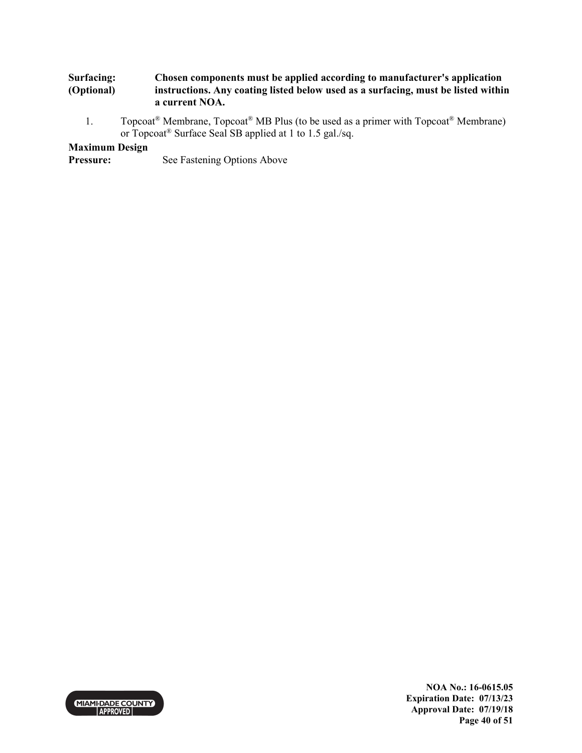#### **Surfacing: (Optional) Chosen components must be applied according to manufacturer's application instructions. Any coating listed below used as a surfacing, must be listed within a current NOA.**

1. Topcoat<sup>®</sup> Membrane, Topcoat<sup>®</sup> MB Plus (to be used as a primer with Topcoat<sup>®</sup> Membrane) or Topcoat® Surface Seal SB applied at 1 to 1.5 gal./sq.

## **Maximum Design**

**Pressure:** See Fastening Options Above



**NOA No.: 16-0615.05 Expiration Date: 07/13/23 Approval Date: 07/19/18 Page 40 of 51**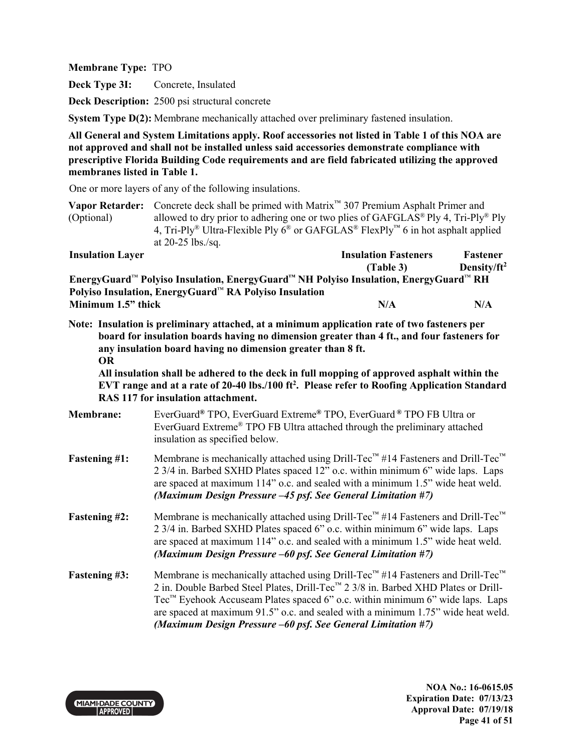**Deck Type 3I:** Concrete, Insulated

**Deck Description:** 2500 psi structural concrete

**System Type D(2):** Membrane mechanically attached over preliminary fastened insulation.

**All General and System Limitations apply. Roof accessories not listed in Table 1 of this NOA are not approved and shall not be installed unless said accessories demonstrate compliance with prescriptive Florida Building Code requirements and are field fabricated utilizing the approved membranes listed in Table 1.**

One or more layers of any of the following insulations.

**Vapor Retarder:** Concrete deck shall be primed with Matrix™ 307 Premium Asphalt Primer and (Optional) allowed to dry prior to adhering one or two plies of GAFGLAS<sup>®</sup> Ply 4, Tri-Ply<sup>®</sup> Ply 4, Tri-Ply<sup>®</sup> Ultra-Flexible Ply  $6^{\circledast}$  or GAFGLAS<sup>®</sup> FlexPly<sup>™</sup> 6 in hot asphalt applied at 20-25 lbs./sq.

| <b>Insulation Layer</b>                                                                                                  | <b>Insulation Fasteners</b> | Fastener                |
|--------------------------------------------------------------------------------------------------------------------------|-----------------------------|-------------------------|
|                                                                                                                          | (Table 3)                   | Density/ft <sup>2</sup> |
| EnergyGuard <sup>™</sup> Polyiso Insulation, EnergyGuard <sup>™</sup> NH Polyiso Insulation, EnergyGuard <sup>™</sup> RH |                             |                         |
| Polyiso Insulation, EnergyGuard™ RA Polyiso Insulation                                                                   |                             |                         |
| Minimum 1.5" thick                                                                                                       | N/A                         | N/A                     |

**Note: Insulation is preliminary attached, at a minimum application rate of two fasteners per board for insulation boards having no dimension greater than 4 ft., and four fasteners for any insulation board having no dimension greater than 8 ft. OR** 

**All insulation shall be adhered to the deck in full mopping of approved asphalt within the EVT range and at a rate of 20-40 lbs./100 ft<sup>2</sup> . Please refer to Roofing Application Standard RAS 117 for insulation attachment.**

| <b>Membrane:</b>     | EverGuard <sup>®</sup> TPO, EverGuard Extreme <sup>®</sup> TPO, EverGuard <sup>®</sup> TPO FB Ultra or<br>EverGuard Extreme <sup>®</sup> TPO FB Ultra attached through the preliminary attached<br>insulation as specified below.                                                                                                                                                                                                                            |
|----------------------|--------------------------------------------------------------------------------------------------------------------------------------------------------------------------------------------------------------------------------------------------------------------------------------------------------------------------------------------------------------------------------------------------------------------------------------------------------------|
| <b>Fastening #1:</b> | Membrane is mechanically attached using Drill-Tec <sup>™</sup> #14 Fasteners and Drill-Tec <sup>™</sup><br>2 3/4 in. Barbed SXHD Plates spaced 12" o.c. within minimum 6" wide laps. Laps<br>are spaced at maximum 114" o.c. and sealed with a minimum 1.5" wide heat weld.<br>(Maximum Design Pressure -45 psf. See General Limitation #7)                                                                                                                  |
| <b>Fastening #2:</b> | Membrane is mechanically attached using Drill-Tec™ #14 Fasteners and Drill-Tec™<br>2 3/4 in. Barbed SXHD Plates spaced 6" o.c. within minimum 6" wide laps. Laps<br>are spaced at maximum 114" o.c. and sealed with a minimum 1.5" wide heat weld.<br>(Maximum Design Pressure –60 psf. See General Limitation #7)                                                                                                                                           |
| <b>Fastening #3:</b> | Membrane is mechanically attached using Drill-Tec <sup>TM</sup> #14 Fasteners and Drill-Tec <sup>TM</sup><br>2 in. Double Barbed Steel Plates, Drill-Tec <sup>™</sup> 2 3/8 in. Barbed XHD Plates or Drill-<br>Tec <sup>™</sup> Eyehook Accuseam Plates spaced 6" o.c. within minimum 6" wide laps. Laps<br>are spaced at maximum 91.5" o.c. and sealed with a minimum 1.75" wide heat weld.<br>(Maximum Design Pressure -60 psf. See General Limitation #7) |

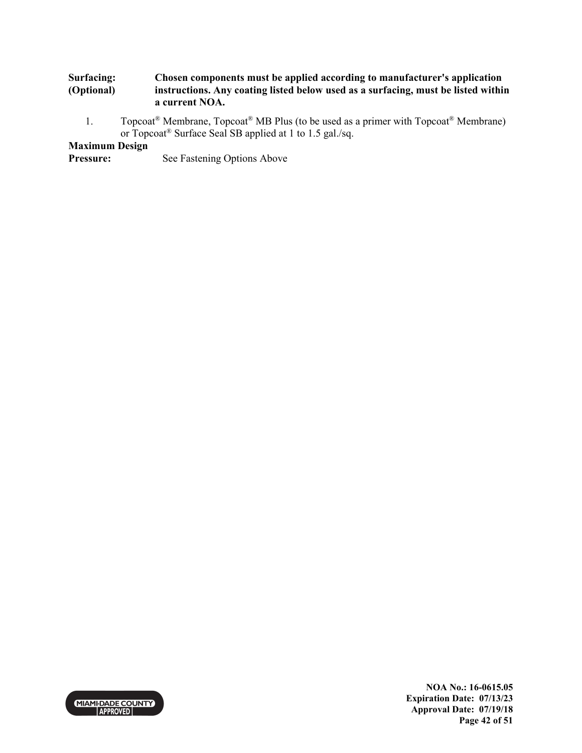#### **Surfacing: (Optional) Chosen components must be applied according to manufacturer's application instructions. Any coating listed below used as a surfacing, must be listed within a current NOA.**

1. Topcoat<sup>®</sup> Membrane, Topcoat<sup>®</sup> MB Plus (to be used as a primer with Topcoat<sup>®</sup> Membrane) or Topcoat® Surface Seal SB applied at 1 to 1.5 gal./sq.

## **Maximum Design**

**Pressure:** See Fastening Options Above



**NOA No.: 16-0615.05 Expiration Date: 07/13/23 Approval Date: 07/19/18 Page 42 of 51**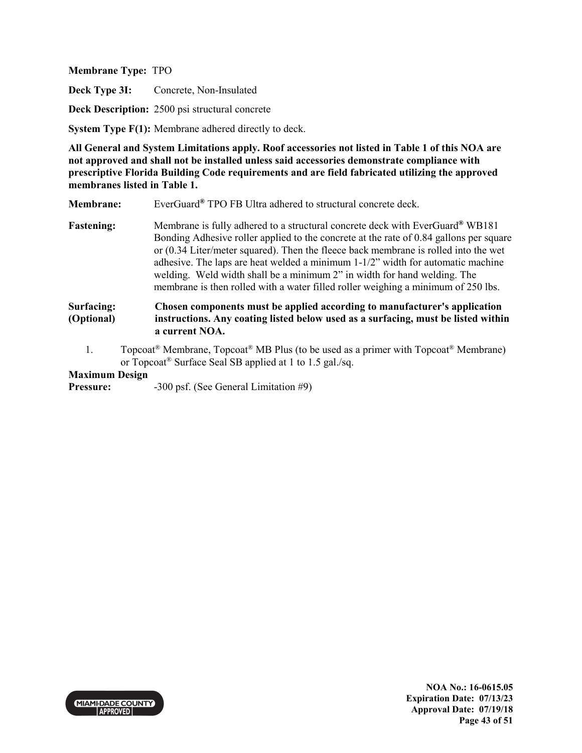**Deck Type 3I:** Concrete, Non-Insulated

**Deck Description:** 2500 psi structural concrete

**System Type F(1):** Membrane adhered directly to deck.

**All General and System Limitations apply. Roof accessories not listed in Table 1 of this NOA are not approved and shall not be installed unless said accessories demonstrate compliance with prescriptive Florida Building Code requirements and are field fabricated utilizing the approved membranes listed in Table 1.**

**Membrane:** EverGuard<sup>®</sup> TPO FB Ultra adhered to structural concrete deck.

**Fastening:** Membrane is fully adhered to a structural concrete deck with EverGuard**®** WB181 Bonding Adhesive roller applied to the concrete at the rate of 0.84 gallons per square or (0.34 Liter/meter squared). Then the fleece back membrane is rolled into the wet adhesive. The laps are heat welded a minimum 1-1/2" width for automatic machine welding. Weld width shall be a minimum 2" in width for hand welding. The membrane is then rolled with a water filled roller weighing a minimum of 250 lbs.

#### **Surfacing: (Optional) Chosen components must be applied according to manufacturer's application instructions. Any coating listed below used as a surfacing, must be listed within a current NOA.**

1. Topcoat<sup>®</sup> Membrane, Topcoat<sup>®</sup> MB Plus (to be used as a primer with Topcoat<sup>®</sup> Membrane) or Topcoat® Surface Seal SB applied at 1 to 1.5 gal./sq.

## **Maximum Design**

**Pressure:** -300 psf. (See General Limitation #9)

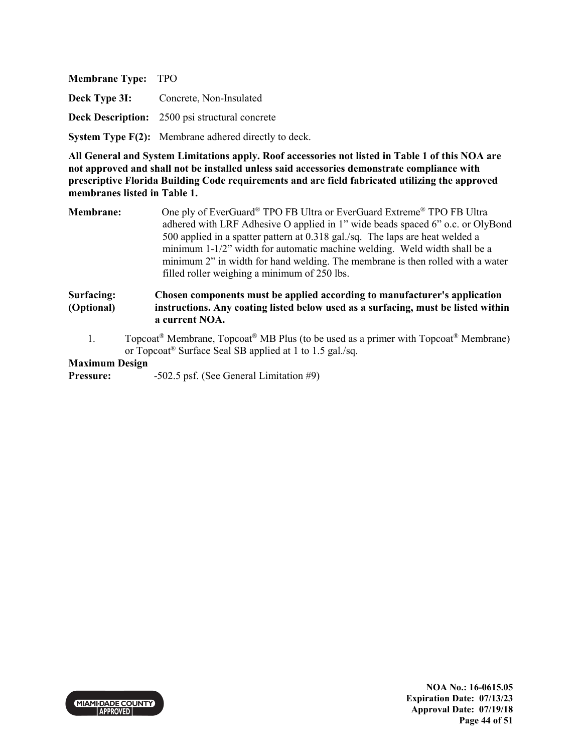| <b>Membrane Type: TPO</b> |                                                                          |
|---------------------------|--------------------------------------------------------------------------|
|                           | <b>Deck Type 3I:</b> Concrete, Non-Insulated                             |
|                           | <b>Deck Description:</b> 2500 psi structural concrete                    |
|                           | <b>System Type <math>F(2)</math>:</b> Membrane adhered directly to deck. |

**Membrane:** One ply of EverGuard® TPO FB Ultra or EverGuard Extreme® TPO FB Ultra adhered with LRF Adhesive O applied in 1" wide beads spaced 6" o.c. or OlyBond 500 applied in a spatter pattern at 0.318 gal./sq. The laps are heat welded a minimum 1-1/2" width for automatic machine welding. Weld width shall be a minimum 2" in width for hand welding. The membrane is then rolled with a water filled roller weighing a minimum of 250 lbs.

#### **Surfacing: (Optional) Chosen components must be applied according to manufacturer's application instructions. Any coating listed below used as a surfacing, must be listed within a current NOA.**

1. Topcoat® Membrane, Topcoat® MB Plus (to be used as a primer with Topcoat® Membrane) or Topcoat® Surface Seal SB applied at 1 to 1.5 gal./sq.

## **Maximum Design**

**Pressure:** -502.5 psf. (See General Limitation #9)

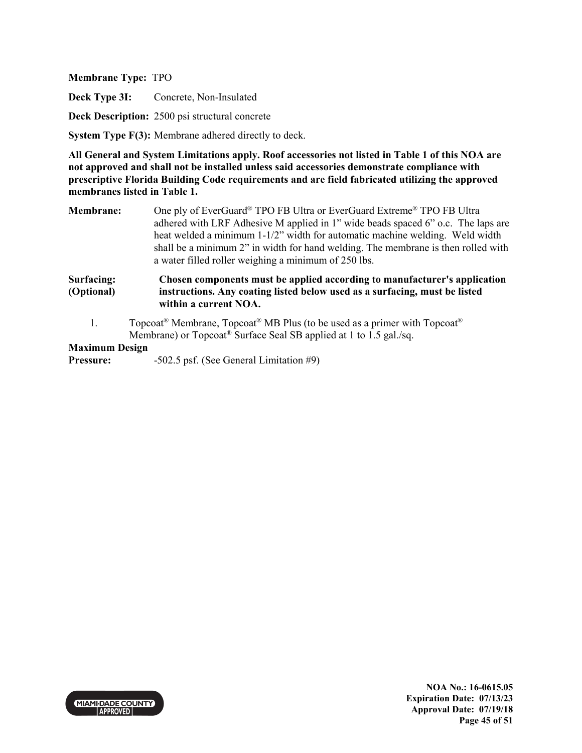**Deck Type 3I:** Concrete, Non-Insulated

**Deck Description:** 2500 psi structural concrete

**System Type F(3):** Membrane adhered directly to deck.

**All General and System Limitations apply. Roof accessories not listed in Table 1 of this NOA are not approved and shall not be installed unless said accessories demonstrate compliance with prescriptive Florida Building Code requirements and are field fabricated utilizing the approved membranes listed in Table 1.**

**Membrane:** One ply of EverGuard® TPO FB Ultra or EverGuard Extreme® TPO FB Ultra adhered with LRF Adhesive M applied in 1" wide beads spaced 6" o.c. The laps are heat welded a minimum 1-1/2" width for automatic machine welding. Weld width shall be a minimum 2" in width for hand welding. The membrane is then rolled with a water filled roller weighing a minimum of 250 lbs.

**Surfacing: (Optional) Chosen components must be applied according to manufacturer's application instructions. Any coating listed below used as a surfacing, must be listed within a current NOA.** 

1. Topcoat® Membrane, Topcoat® MB Plus (to be used as a primer with Topcoat® Membrane) or Topcoat® Surface Seal SB applied at 1 to 1.5 gal./sq.

### **Maximum Design**

**Pressure:** -502.5 psf. (See General Limitation #9)

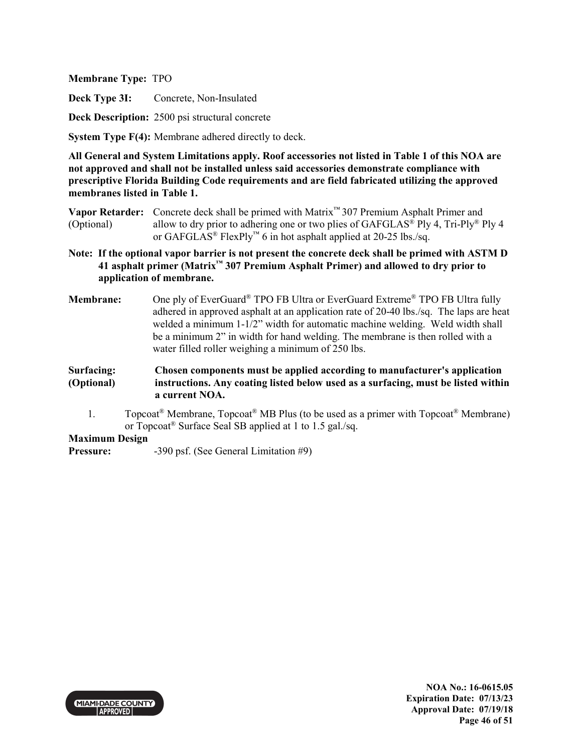**Deck Type 3I:** Concrete, Non-Insulated

**Deck Description:** 2500 psi structural concrete

**System Type F(4):** Membrane adhered directly to deck.

**All General and System Limitations apply. Roof accessories not listed in Table 1 of this NOA are not approved and shall not be installed unless said accessories demonstrate compliance with prescriptive Florida Building Code requirements and are field fabricated utilizing the approved membranes listed in Table 1.**

**Vapor Retarder:** Concrete deck shall be primed with Matrix™ 307 Premium Asphalt Primer and (Optional) allow to dry prior to adhering one or two plies of GAFGLAS<sup>®</sup> Ply 4, Tri-Ply<sup>®</sup> Ply 4 or GAFGLAS® FlexPly™ 6 in hot asphalt applied at 20-25 lbs./sq.

- **Note: If the optional vapor barrier is not present the concrete deck shall be primed with ASTM D 41 asphalt primer (Matrix™ 307 Premium Asphalt Primer) and allowed to dry prior to application of membrane.**
- **Membrane:** One ply of EverGuard® TPO FB Ultra or EverGuard Extreme® TPO FB Ultra fully adhered in approved asphalt at an application rate of 20-40 lbs./sq. The laps are heat welded a minimum 1-1/2" width for automatic machine welding. Weld width shall be a minimum 2" in width for hand welding. The membrane is then rolled with a water filled roller weighing a minimum of 250 lbs.
- **Surfacing: (Optional) Chosen components must be applied according to manufacturer's application instructions. Any coating listed below used as a surfacing, must be listed within a current NOA.** 
	- 1. Topcoat<sup>®</sup> Membrane, Topcoat<sup>®</sup> MB Plus (to be used as a primer with Topcoat<sup>®</sup> Membrane) or Topcoat® Surface Seal SB applied at 1 to 1.5 gal./sq.

**Maximum Design** 

**Pressure:** -390 psf. (See General Limitation #9)

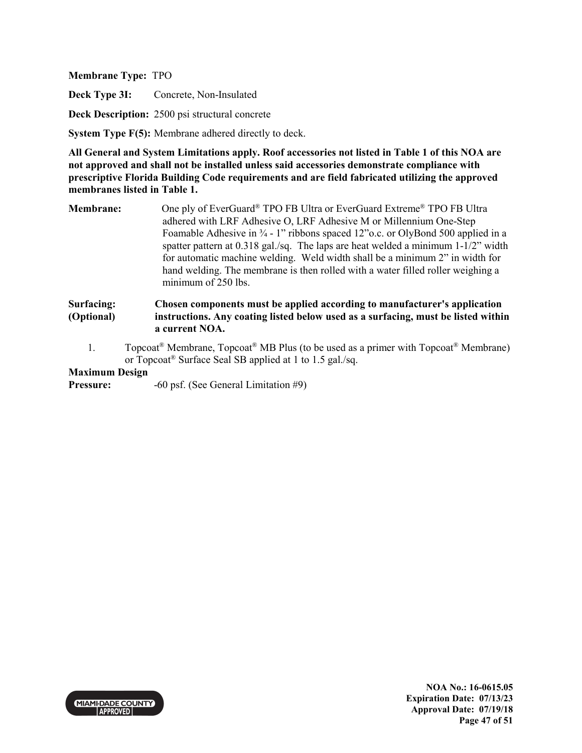**Deck Type 3I:** Concrete, Non-Insulated

**Deck Description:** 2500 psi structural concrete

**System Type F(5):** Membrane adhered directly to deck.

**All General and System Limitations apply. Roof accessories not listed in Table 1 of this NOA are not approved and shall not be installed unless said accessories demonstrate compliance with prescriptive Florida Building Code requirements and are field fabricated utilizing the approved membranes listed in Table 1.**

**Membrane:** One ply of EverGuard® TPO FB Ultra or EverGuard Extreme® TPO FB Ultra adhered with LRF Adhesive O, LRF Adhesive M or Millennium One-Step Foamable Adhesive in  $\frac{3}{4}$  - 1" ribbons spaced 12" o.c. or OlyBond 500 applied in a spatter pattern at 0.318 gal./sq. The laps are heat welded a minimum 1-1/2" width for automatic machine welding. Weld width shall be a minimum 2" in width for hand welding. The membrane is then rolled with a water filled roller weighing a minimum of 250 lbs.

#### **Surfacing: (Optional) Chosen components must be applied according to manufacturer's application instructions. Any coating listed below used as a surfacing, must be listed within a current NOA.**

1. Topcoat<sup>®</sup> Membrane, Topcoat<sup>®</sup> MB Plus (to be used as a primer with Topcoat<sup>®</sup> Membrane) or Topcoat® Surface Seal SB applied at 1 to 1.5 gal./sq.

## **Maximum Design**

**Pressure:**  $-60 \text{ psf.}$  (See General Limitation #9)

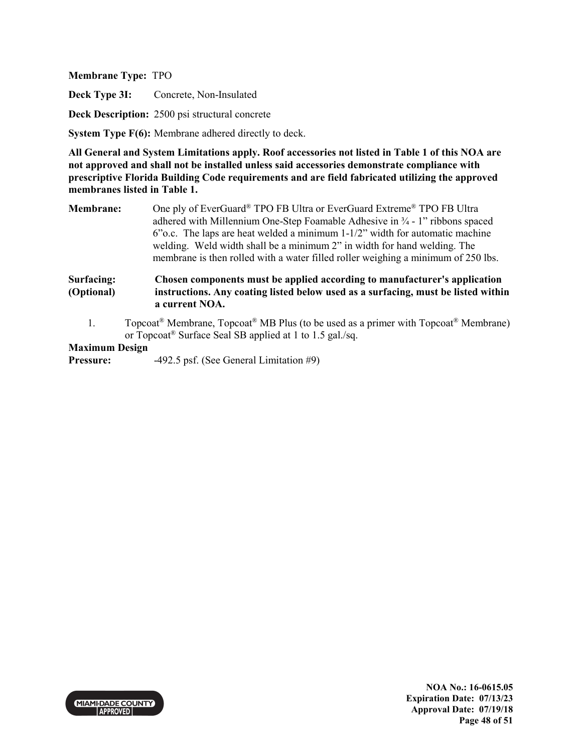**Deck Type 3I:** Concrete, Non-Insulated

**Deck Description:** 2500 psi structural concrete

**System Type F(6):** Membrane adhered directly to deck.

**All General and System Limitations apply. Roof accessories not listed in Table 1 of this NOA are not approved and shall not be installed unless said accessories demonstrate compliance with prescriptive Florida Building Code requirements and are field fabricated utilizing the approved membranes listed in Table 1.**

**Membrane:** One ply of EverGuard® TPO FB Ultra or EverGuard Extreme® TPO FB Ultra adhered with Millennium One-Step Foamable Adhesive in ¾ - 1" ribbons spaced 6"o.c. The laps are heat welded a minimum 1-1/2" width for automatic machine welding. Weld width shall be a minimum 2" in width for hand welding. The membrane is then rolled with a water filled roller weighing a minimum of 250 lbs.

#### **Surfacing: (Optional) Chosen components must be applied according to manufacturer's application instructions. Any coating listed below used as a surfacing, must be listed within a current NOA.**

1. Topcoat<sup>®</sup> Membrane,  $Topcoat^®$  MB Plus (to be used as a primer with  $Topcoat^®$  Membrane) or Topcoat® Surface Seal SB applied at 1 to 1.5 gal./sq.

## **Maximum Design**

**Pressure:** -492.5 psf. (See General Limitation #9)

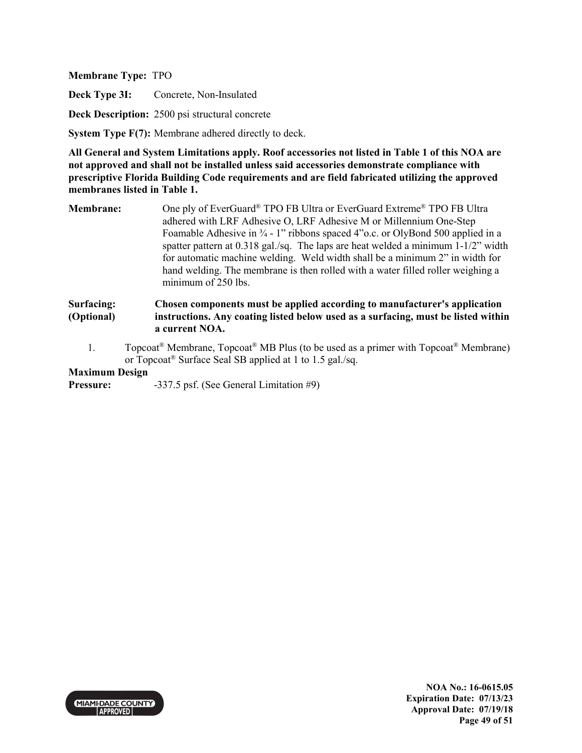**Deck Type 3I:** Concrete, Non-Insulated

**Deck Description:** 2500 psi structural concrete

**System Type F(7):** Membrane adhered directly to deck.

**All General and System Limitations apply. Roof accessories not listed in Table 1 of this NOA are not approved and shall not be installed unless said accessories demonstrate compliance with prescriptive Florida Building Code requirements and are field fabricated utilizing the approved membranes listed in Table 1.**

**Membrane:** One ply of EverGuard® TPO FB Ultra or EverGuard Extreme® TPO FB Ultra adhered with LRF Adhesive O, LRF Adhesive M or Millennium One-Step Foamable Adhesive in  $\frac{3}{4}$  - 1" ribbons spaced 4"o.c. or OlyBond 500 applied in a spatter pattern at 0.318 gal./sq. The laps are heat welded a minimum 1-1/2" width for automatic machine welding. Weld width shall be a minimum 2" in width for hand welding. The membrane is then rolled with a water filled roller weighing a minimum of 250 lbs.

#### **Surfacing: (Optional) Chosen components must be applied according to manufacturer's application instructions. Any coating listed below used as a surfacing, must be listed within a current NOA.**

1. Topcoat<sup>®</sup> Membrane, Topcoat<sup>®</sup> MB Plus (to be used as a primer with Topcoat<sup>®</sup> Membrane) or Topcoat® Surface Seal SB applied at 1 to 1.5 gal./sq.

## **Maximum Design**

**Pressure:**  $-337.5$  psf. (See General Limitation #9)

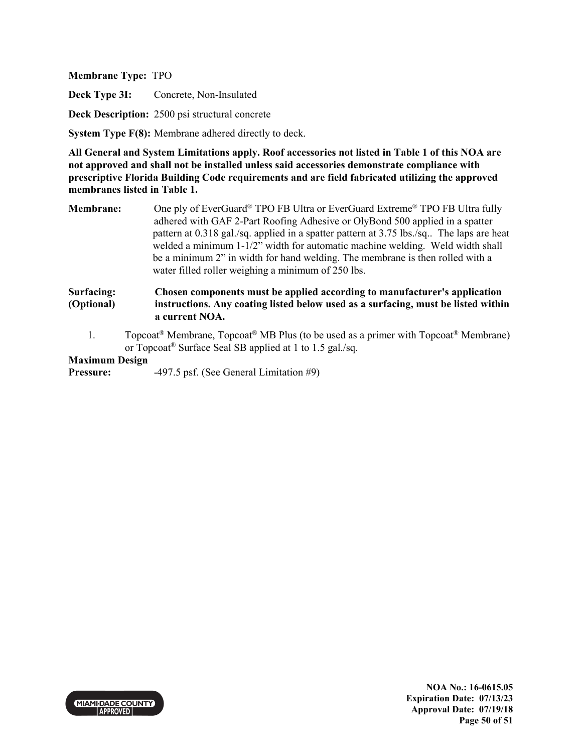**Deck Type 3I:** Concrete, Non-Insulated

**Deck Description:** 2500 psi structural concrete

**System Type F(8):** Membrane adhered directly to deck.

**All General and System Limitations apply. Roof accessories not listed in Table 1 of this NOA are not approved and shall not be installed unless said accessories demonstrate compliance with prescriptive Florida Building Code requirements and are field fabricated utilizing the approved membranes listed in Table 1.**

**Membrane:** One ply of EverGuard® TPO FB Ultra or EverGuard Extreme® TPO FB Ultra fully adhered with GAF 2-Part Roofing Adhesive or OlyBond 500 applied in a spatter pattern at 0.318 gal./sq. applied in a spatter pattern at 3.75 lbs./sq.. The laps are heat welded a minimum 1-1/2" width for automatic machine welding. Weld width shall be a minimum 2" in width for hand welding. The membrane is then rolled with a water filled roller weighing a minimum of 250 lbs.

#### **Surfacing: (Optional) Chosen components must be applied according to manufacturer's application instructions. Any coating listed below used as a surfacing, must be listed within a current NOA.**

1. Topcoat<sup>®</sup> Membrane, Topcoat<sup>®</sup> MB Plus (to be used as a primer with Topcoat<sup>®</sup> Membrane) or Topcoat® Surface Seal SB applied at 1 to 1.5 gal./sq.

### **Maximum Design**

**Pressure:** -497.5 psf. (See General Limitation #9)